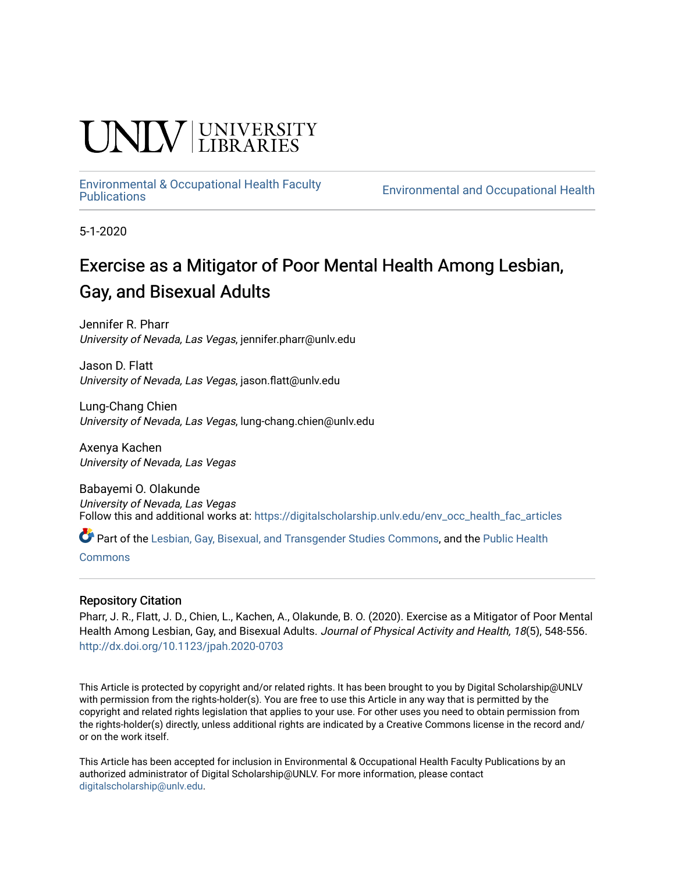# **INIVERSITY**

# [Environmental & Occupational Health Faculty](https://digitalscholarship.unlv.edu/env_occ_health_fac_articles)

**Environmental and Occupational Health** 

5-1-2020

## Exercise as a Mitigator of Poor Mental Health Among Lesbian, Gay, and Bisexual Adults

Jennifer R. Pharr University of Nevada, Las Vegas, jennifer.pharr@unlv.edu

Jason D. Flatt University of Nevada, Las Vegas, jason.flatt@unlv.edu

Lung-Chang Chien University of Nevada, Las Vegas, lung-chang.chien@unlv.edu

Axenya Kachen University of Nevada, Las Vegas

Babayemi O. Olakunde University of Nevada, Las Vegas Follow this and additional works at: [https://digitalscholarship.unlv.edu/env\\_occ\\_health\\_fac\\_articles](https://digitalscholarship.unlv.edu/env_occ_health_fac_articles?utm_source=digitalscholarship.unlv.edu%2Fenv_occ_health_fac_articles%2F530&utm_medium=PDF&utm_campaign=PDFCoverPages) 

Part of the [Lesbian, Gay, Bisexual, and Transgender Studies Commons](http://network.bepress.com/hgg/discipline/560?utm_source=digitalscholarship.unlv.edu%2Fenv_occ_health_fac_articles%2F530&utm_medium=PDF&utm_campaign=PDFCoverPages), and the [Public Health](http://network.bepress.com/hgg/discipline/738?utm_source=digitalscholarship.unlv.edu%2Fenv_occ_health_fac_articles%2F530&utm_medium=PDF&utm_campaign=PDFCoverPages)

**[Commons](http://network.bepress.com/hgg/discipline/738?utm_source=digitalscholarship.unlv.edu%2Fenv_occ_health_fac_articles%2F530&utm_medium=PDF&utm_campaign=PDFCoverPages)** 

#### Repository Citation

Pharr, J. R., Flatt, J. D., Chien, L., Kachen, A., Olakunde, B. O. (2020). Exercise as a Mitigator of Poor Mental Health Among Lesbian, Gay, and Bisexual Adults. Journal of Physical Activity and Health, 18(5), 548-556. <http://dx.doi.org/10.1123/jpah.2020-0703>

This Article is protected by copyright and/or related rights. It has been brought to you by Digital Scholarship@UNLV with permission from the rights-holder(s). You are free to use this Article in any way that is permitted by the copyright and related rights legislation that applies to your use. For other uses you need to obtain permission from the rights-holder(s) directly, unless additional rights are indicated by a Creative Commons license in the record and/ or on the work itself.

This Article has been accepted for inclusion in Environmental & Occupational Health Faculty Publications by an authorized administrator of Digital Scholarship@UNLV. For more information, please contact [digitalscholarship@unlv.edu](mailto:digitalscholarship@unlv.edu).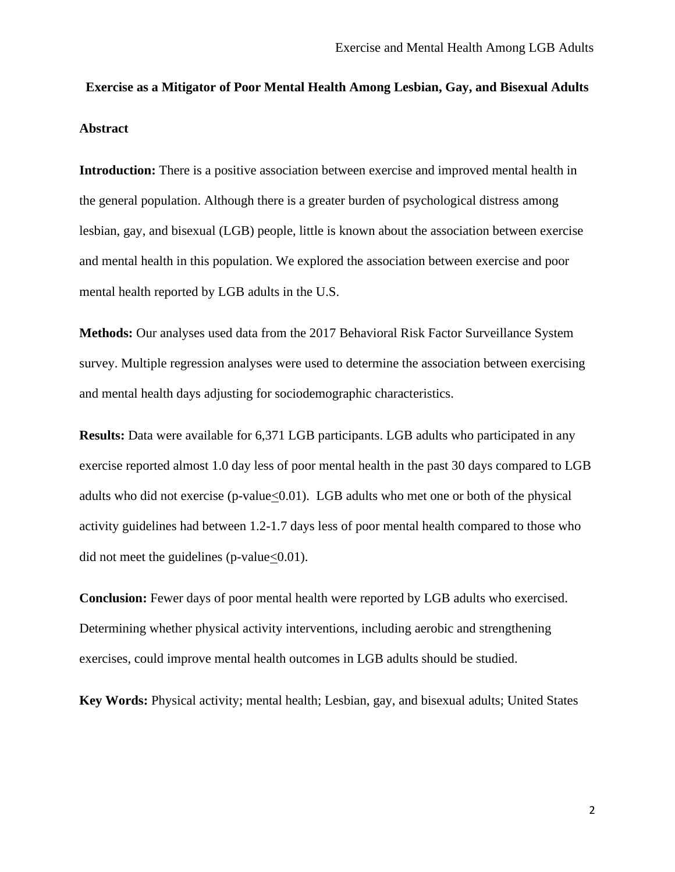# **Exercise as a Mitigator of Poor Mental Health Among Lesbian, Gay, and Bisexual Adults Abstract**

**Introduction:** There is a positive association between exercise and improved mental health in the general population. Although there is a greater burden of psychological distress among lesbian, gay, and bisexual (LGB) people, little is known about the association between exercise and mental health in this population. We explored the association between exercise and poor mental health reported by LGB adults in the U.S.

**Methods:** Our analyses used data from the 2017 Behavioral Risk Factor Surveillance System survey. Multiple regression analyses were used to determine the association between exercising and mental health days adjusting for sociodemographic characteristics.

**Results:** Data were available for 6,371 LGB participants. LGB adults who participated in any exercise reported almost 1.0 day less of poor mental health in the past 30 days compared to LGB adults who did not exercise (p-value  $(0.01)$ ). LGB adults who met one or both of the physical activity guidelines had between 1.2-1.7 days less of poor mental health compared to those who did not meet the guidelines ( $p$ -value< $0.01$ ).

**Conclusion:** Fewer days of poor mental health were reported by LGB adults who exercised. Determining whether physical activity interventions, including aerobic and strengthening exercises, could improve mental health outcomes in LGB adults should be studied.

**Key Words:** Physical activity; mental health; Lesbian, gay, and bisexual adults; United States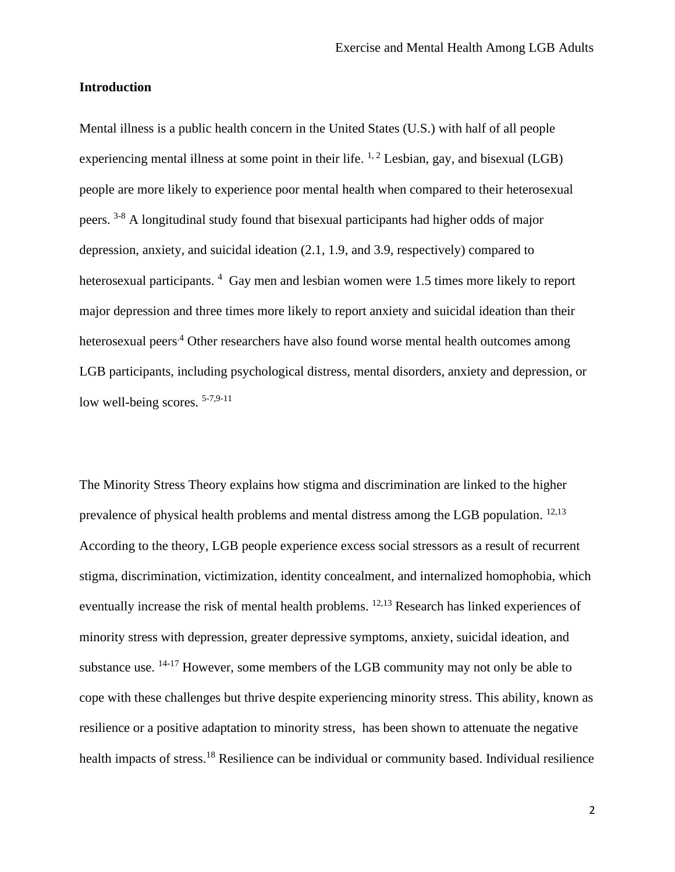#### **Introduction**

Mental illness is a public health concern in the United States (U.S.) with half of all people experiencing mental illness at some point in their life.  $1, 2$  Lesbian, gay, and bisexual (LGB) people are more likely to experience poor mental health when compared to their heterosexual peers.<sup>3-8</sup> A longitudinal study found that bisexual participants had higher odds of major depression, anxiety, and suicidal ideation (2.1, 1.9, and 3.9, respectively) compared to heterosexual participants. <sup>4</sup> Gay men and lesbian women were 1.5 times more likely to report major depression and three times more likely to report anxiety and suicidal ideation than their heterosexual peers<sup>.4</sup> Other researchers have also found worse mental health outcomes among LGB participants, including psychological distress, mental disorders, anxiety and depression, or low well-being scores.  $5-7,9-11$ 

The Minority Stress Theory explains how stigma and discrimination are linked to the higher prevalence of physical health problems and mental distress among the LGB population. <sup>12,13</sup> According to the theory, LGB people experience excess social stressors as a result of recurrent stigma, discrimination, victimization, identity concealment, and internalized homophobia, which eventually increase the risk of mental health problems. <sup>12,13</sup> Research has linked experiences of minority stress with depression, greater depressive symptoms, anxiety, suicidal ideation, and substance use.  $14-17$  However, some members of the LGB community may not only be able to cope with these challenges but thrive despite experiencing minority stress. This ability, known as resilience or a positive adaptation to minority stress, has been shown to attenuate the negative health impacts of stress.<sup>18</sup> Resilience can be individual or community based. Individual resilience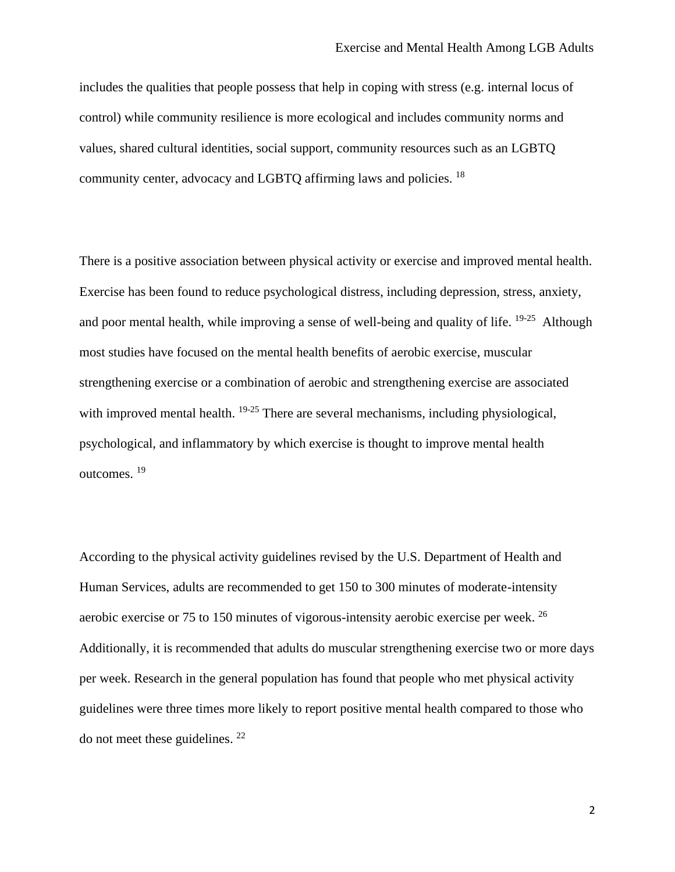includes the qualities that people possess that help in coping with stress (e.g. internal locus of control) while community resilience is more ecological and includes community norms and values, shared cultural identities, social support, community resources such as an LGBTQ community center, advocacy and LGBTQ affirming laws and policies. <sup>18</sup>

There is a positive association between physical activity or exercise and improved mental health. Exercise has been found to reduce psychological distress, including depression, stress, anxiety, and poor mental health, while improving a sense of well-being and quality of life.  $19-25$  Although most studies have focused on the mental health benefits of aerobic exercise, muscular strengthening exercise or a combination of aerobic and strengthening exercise are associated with improved mental health. <sup>19-25</sup> There are several mechanisms, including physiological, psychological, and inflammatory by which exercise is thought to improve mental health outcomes. <sup>19</sup>

According to the physical activity guidelines revised by the U.S. Department of Health and Human Services, adults are recommended to get 150 to 300 minutes of moderate-intensity aerobic exercise or 75 to 150 minutes of vigorous-intensity aerobic exercise per week. <sup>26</sup> Additionally, it is recommended that adults do muscular strengthening exercise two or more days per week. Research in the general population has found that people who met physical activity guidelines were three times more likely to report positive mental health compared to those who do not meet these guidelines.  $22$ 

2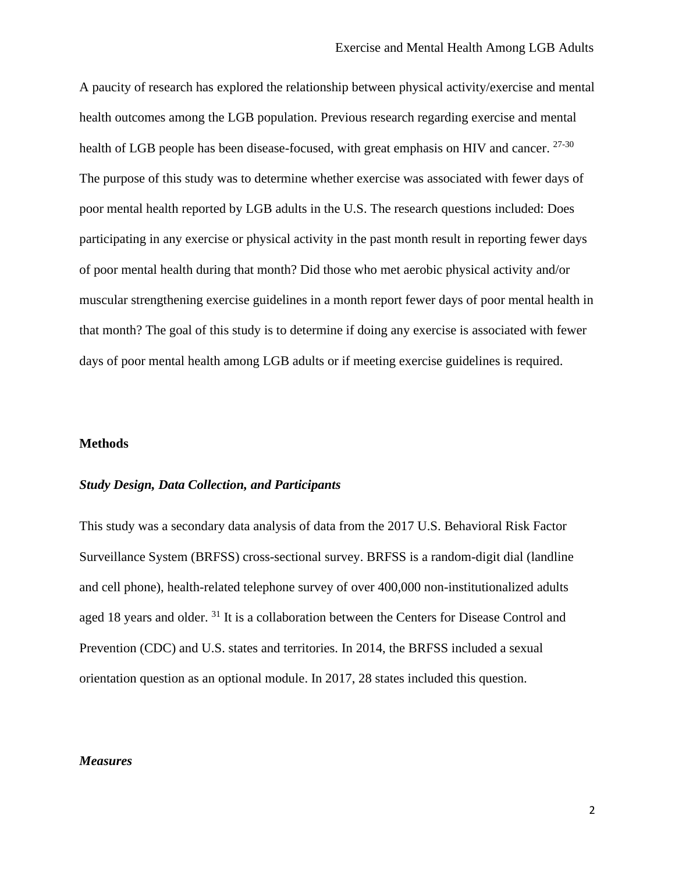A paucity of research has explored the relationship between physical activity/exercise and mental health outcomes among the LGB population. Previous research regarding exercise and mental health of LGB people has been disease-focused, with great emphasis on HIV and cancer. <sup>27-30</sup> The purpose of this study was to determine whether exercise was associated with fewer days of poor mental health reported by LGB adults in the U.S. The research questions included: Does participating in any exercise or physical activity in the past month result in reporting fewer days of poor mental health during that month? Did those who met aerobic physical activity and/or muscular strengthening exercise guidelines in a month report fewer days of poor mental health in that month? The goal of this study is to determine if doing any exercise is associated with fewer days of poor mental health among LGB adults or if meeting exercise guidelines is required.

#### **Methods**

#### *Study Design, Data Collection, and Participants*

This study was a secondary data analysis of data from the 2017 U.S. Behavioral Risk Factor Surveillance System (BRFSS) cross-sectional survey. BRFSS is a random-digit dial (landline and cell phone), health-related telephone survey of over 400,000 non-institutionalized adults aged 18 years and older. <sup>31</sup> It is a collaboration between the Centers for Disease Control and Prevention (CDC) and U.S. states and territories. In 2014, the BRFSS included a sexual orientation question as an optional module. In 2017, 28 states included this question.

#### *Measures*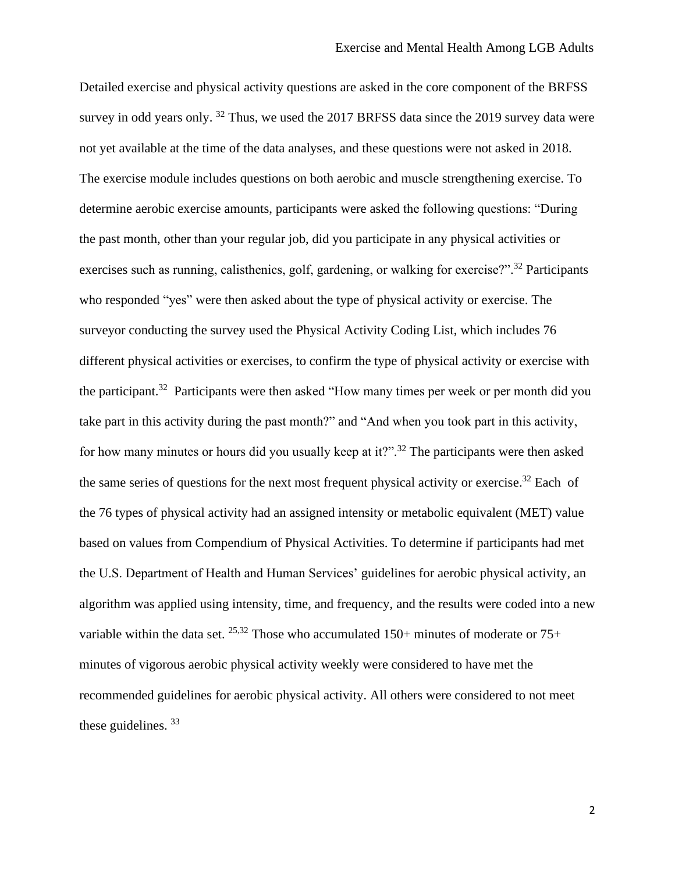Detailed exercise and physical activity questions are asked in the core component of the BRFSS survey in odd years only.  $32$  Thus, we used the 2017 BRFSS data since the 2019 survey data were not yet available at the time of the data analyses, and these questions were not asked in 2018. The exercise module includes questions on both aerobic and muscle strengthening exercise. To determine aerobic exercise amounts, participants were asked the following questions: "During the past month, other than your regular job, did you participate in any physical activities or exercises such as running, calisthenics, golf, gardening, or walking for exercise?".<sup>32</sup> Participants who responded "yes" were then asked about the type of physical activity or exercise. The surveyor conducting the survey used the Physical Activity Coding List, which includes 76 different physical activities or exercises, to confirm the type of physical activity or exercise with the participant.<sup>32</sup> Participants were then asked "How many times per week or per month did you take part in this activity during the past month?" and "And when you took part in this activity, for how many minutes or hours did you usually keep at it?".<sup>32</sup> The participants were then asked the same series of questions for the next most frequent physical activity or exercise.<sup>32</sup> Each of the 76 types of physical activity had an assigned intensity or metabolic equivalent (MET) value based on values from Compendium of Physical Activities. To determine if participants had met the U.S. Department of Health and Human Services' guidelines for aerobic physical activity, an algorithm was applied using intensity, time, and frequency, and the results were coded into a new variable within the data set.  $25,32$  Those who accumulated 150+ minutes of moderate or 75+ minutes of vigorous aerobic physical activity weekly were considered to have met the recommended guidelines for aerobic physical activity. All others were considered to not meet these guidelines.  $33$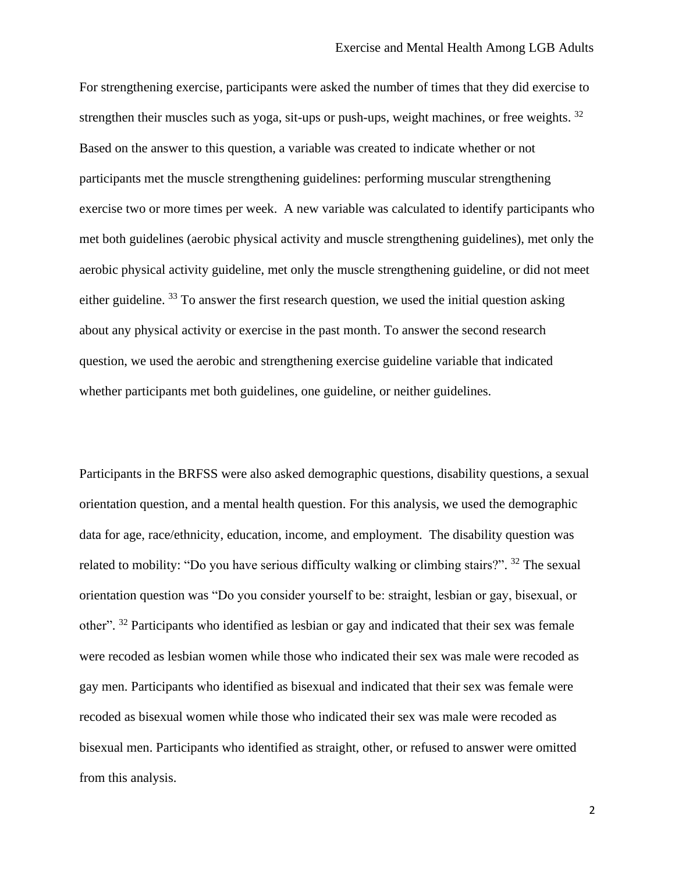For strengthening exercise, participants were asked the number of times that they did exercise to strengthen their muscles such as yoga, sit-ups or push-ups, weight machines, or free weights.<sup>32</sup> Based on the answer to this question, a variable was created to indicate whether or not participants met the muscle strengthening guidelines: performing muscular strengthening exercise two or more times per week. A new variable was calculated to identify participants who met both guidelines (aerobic physical activity and muscle strengthening guidelines), met only the aerobic physical activity guideline, met only the muscle strengthening guideline, or did not meet either guideline.  $33$  To answer the first research question, we used the initial question asking about any physical activity or exercise in the past month. To answer the second research question, we used the aerobic and strengthening exercise guideline variable that indicated whether participants met both guidelines, one guideline, or neither guidelines.

Participants in the BRFSS were also asked demographic questions, disability questions, a sexual orientation question, and a mental health question. For this analysis, we used the demographic data for age, race/ethnicity, education, income, and employment. The disability question was related to mobility: "Do you have serious difficulty walking or climbing stairs?". <sup>32</sup> The sexual orientation question was "Do you consider yourself to be: straight, lesbian or gay, bisexual, or other". <sup>32</sup> Participants who identified as lesbian or gay and indicated that their sex was female were recoded as lesbian women while those who indicated their sex was male were recoded as gay men. Participants who identified as bisexual and indicated that their sex was female were recoded as bisexual women while those who indicated their sex was male were recoded as bisexual men. Participants who identified as straight, other, or refused to answer were omitted from this analysis.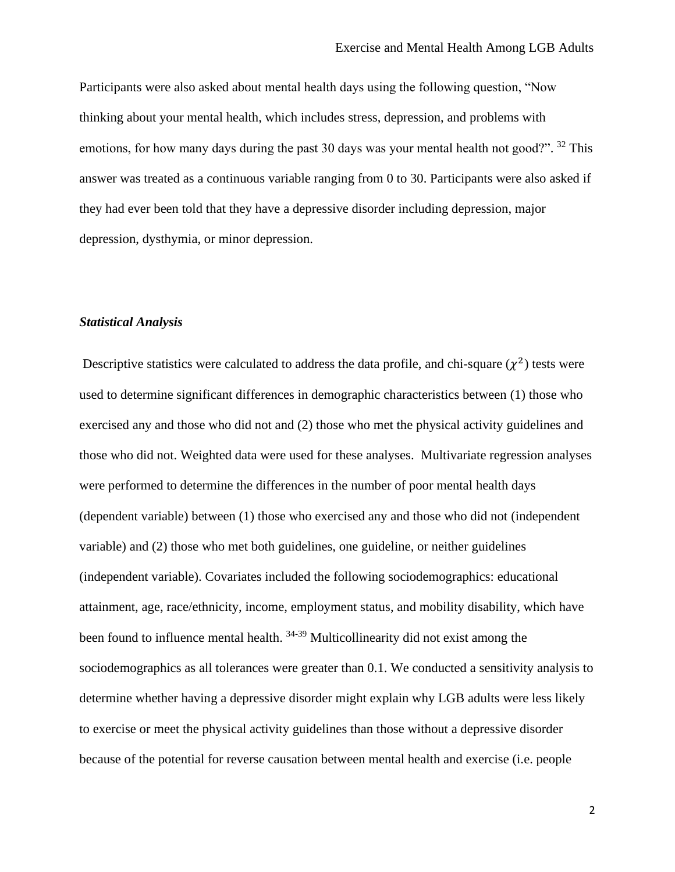Participants were also asked about mental health days using the following question, "Now thinking about your mental health, which includes stress, depression, and problems with emotions, for how many days during the past 30 days was your mental health not good?". <sup>32</sup> This answer was treated as a continuous variable ranging from 0 to 30. Participants were also asked if they had ever been told that they have a depressive disorder including depression, major depression, dysthymia, or minor depression.

#### *Statistical Analysis*

Descriptive statistics were calculated to address the data profile, and chi-square  $(\chi^2)$  tests were used to determine significant differences in demographic characteristics between (1) those who exercised any and those who did not and (2) those who met the physical activity guidelines and those who did not. Weighted data were used for these analyses. Multivariate regression analyses were performed to determine the differences in the number of poor mental health days (dependent variable) between (1) those who exercised any and those who did not (independent variable) and (2) those who met both guidelines, one guideline, or neither guidelines (independent variable). Covariates included the following sociodemographics: educational attainment, age, race/ethnicity, income, employment status, and mobility disability, which have been found to influence mental health. <sup>34-39</sup> Multicollinearity did not exist among the sociodemographics as all tolerances were greater than 0.1. We conducted a sensitivity analysis to determine whether having a depressive disorder might explain why LGB adults were less likely to exercise or meet the physical activity guidelines than those without a depressive disorder because of the potential for reverse causation between mental health and exercise (i.e. people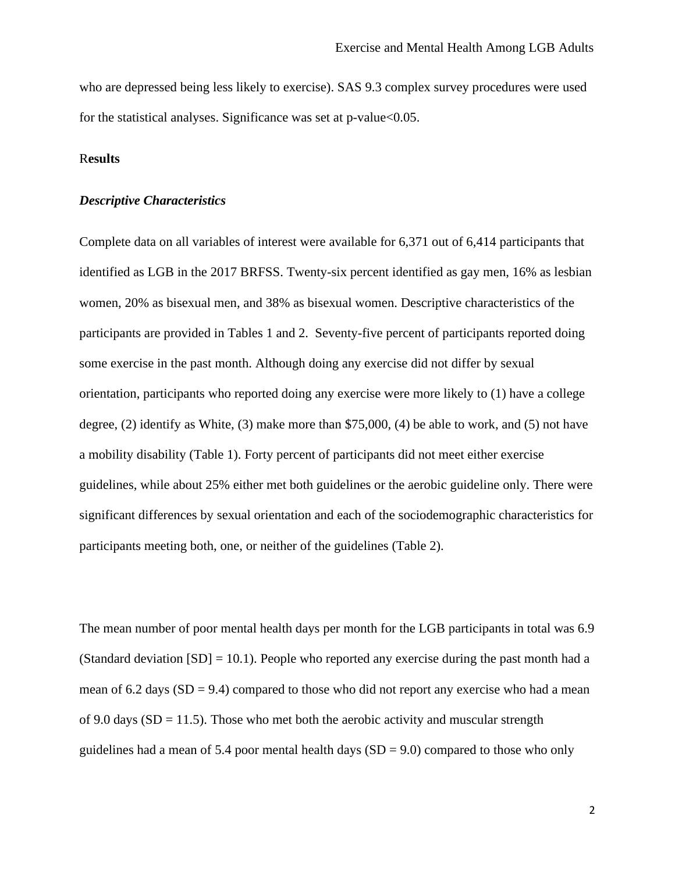who are depressed being less likely to exercise). SAS 9.3 complex survey procedures were used for the statistical analyses. Significance was set at  $p$ -value $<0.05$ .

#### R**esults**

#### *Descriptive Characteristics*

Complete data on all variables of interest were available for 6,371 out of 6,414 participants that identified as LGB in the 2017 BRFSS. Twenty-six percent identified as gay men, 16% as lesbian women, 20% as bisexual men, and 38% as bisexual women. Descriptive characteristics of the participants are provided in Tables 1 and 2. Seventy-five percent of participants reported doing some exercise in the past month. Although doing any exercise did not differ by sexual orientation, participants who reported doing any exercise were more likely to (1) have a college degree, (2) identify as White, (3) make more than \$75,000, (4) be able to work, and (5) not have a mobility disability (Table 1). Forty percent of participants did not meet either exercise guidelines, while about 25% either met both guidelines or the aerobic guideline only. There were significant differences by sexual orientation and each of the sociodemographic characteristics for participants meeting both, one, or neither of the guidelines (Table 2).

The mean number of poor mental health days per month for the LGB participants in total was 6.9 (Standard deviation  $[SD] = 10.1$ ). People who reported any exercise during the past month had a mean of 6.2 days  $(SD = 9.4)$  compared to those who did not report any exercise who had a mean of 9.0 days ( $SD = 11.5$ ). Those who met both the aerobic activity and muscular strength guidelines had a mean of 5.4 poor mental health days  $(SD = 9.0)$  compared to those who only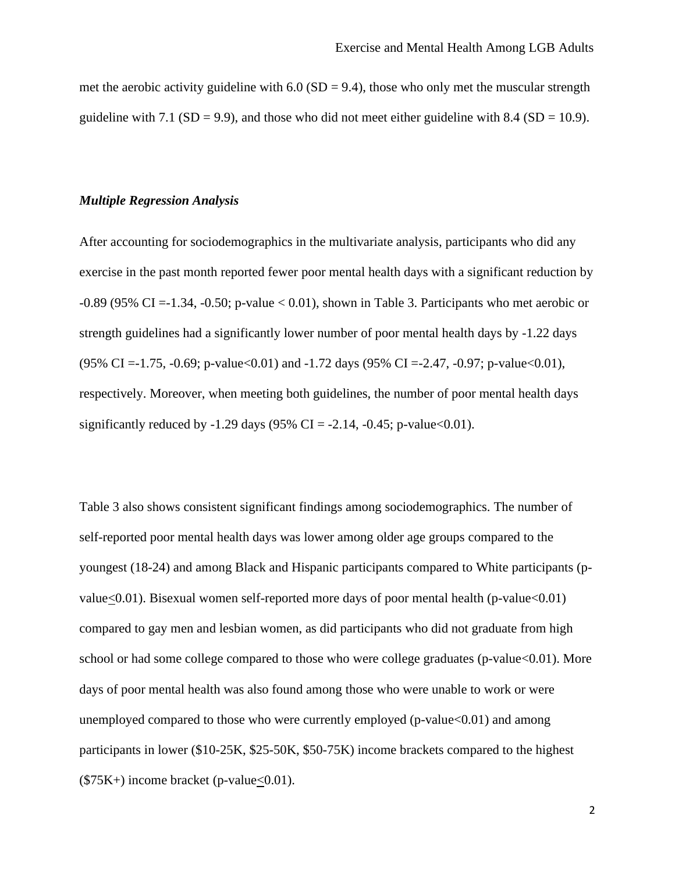met the aerobic activity guideline with  $6.0$  (SD = 9.4), those who only met the muscular strength guideline with 7.1 (SD = 9.9), and those who did not meet either guideline with 8.4 (SD = 10.9).

#### *Multiple Regression Analysis*

After accounting for sociodemographics in the multivariate analysis, participants who did any exercise in the past month reported fewer poor mental health days with a significant reduction by -0.89 (95% CI = 1.34, -0.50; p-value  $< 0.01$ ), shown in Table 3. Participants who met aerobic or strength guidelines had a significantly lower number of poor mental health days by -1.22 days  $(95\% \text{ CI} = -1.75, -0.69; \text{p-value} < 0.01)$  and  $-1.72 \text{ days } (95\% \text{ CI} = -2.47, -0.97; \text{p-value} < 0.01)$ , respectively. Moreover, when meeting both guidelines, the number of poor mental health days significantly reduced by -1.29 days (95% CI = -2.14, -0.45; p-value < 0.01).

Table 3 also shows consistent significant findings among sociodemographics. The number of self-reported poor mental health days was lower among older age groups compared to the youngest (18-24) and among Black and Hispanic participants compared to White participants (pvalue $< 0.01$ ). Bisexual women self-reported more days of poor mental health (p-value $< 0.01$ ) compared to gay men and lesbian women, as did participants who did not graduate from high school or had some college compared to those who were college graduates ( $p$ -value $<0.01$ ). More days of poor mental health was also found among those who were unable to work or were unemployed compared to those who were currently employed (p-value $\leq 0.01$ ) and among participants in lower (\$10-25K, \$25-50K, \$50-75K) income brackets compared to the highest  $($75K+)$  income bracket (p-value < 0.01).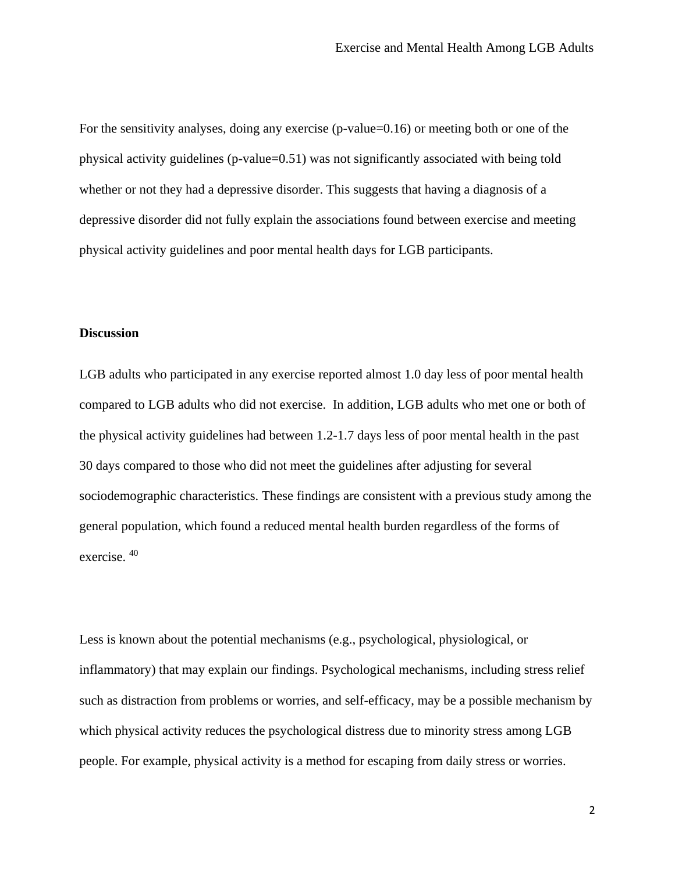For the sensitivity analyses, doing any exercise (p-value=0.16) or meeting both or one of the physical activity guidelines (p-value=0.51) was not significantly associated with being told whether or not they had a depressive disorder. This suggests that having a diagnosis of a depressive disorder did not fully explain the associations found between exercise and meeting physical activity guidelines and poor mental health days for LGB participants.

#### **Discussion**

LGB adults who participated in any exercise reported almost 1.0 day less of poor mental health compared to LGB adults who did not exercise. In addition, LGB adults who met one or both of the physical activity guidelines had between 1.2-1.7 days less of poor mental health in the past 30 days compared to those who did not meet the guidelines after adjusting for several sociodemographic characteristics. These findings are consistent with a previous study among the general population, which found a reduced mental health burden regardless of the forms of exercise. 40

Less is known about the potential mechanisms (e.g., psychological, physiological, or inflammatory) that may explain our findings. Psychological mechanisms, including stress relief such as distraction from problems or worries, and self-efficacy, may be a possible mechanism by which physical activity reduces the psychological distress due to minority stress among LGB people. For example, physical activity is a method for escaping from daily stress or worries.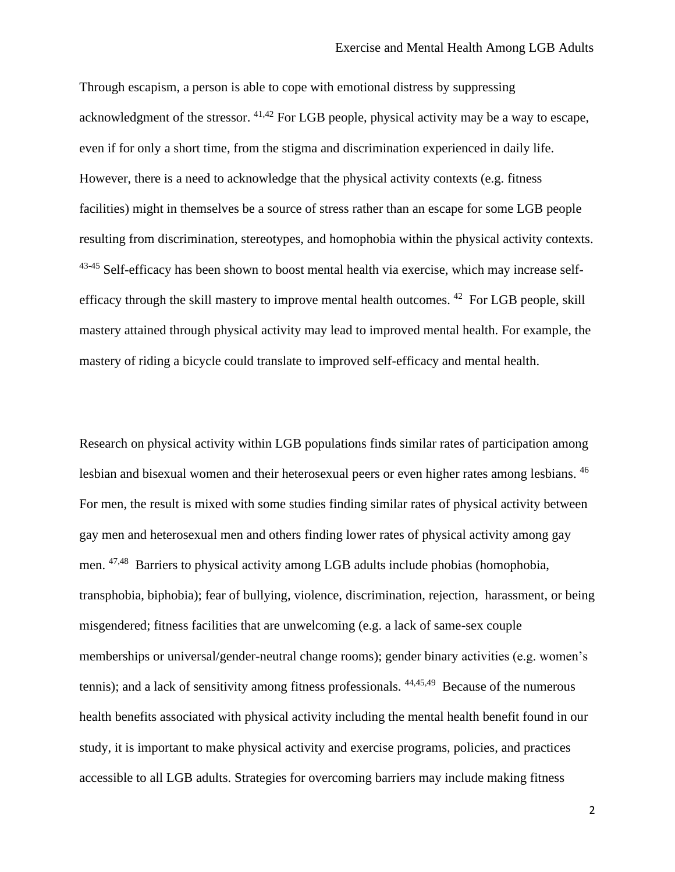Through escapism, a person is able to cope with emotional distress by suppressing acknowledgment of the stressor. <sup>41,42</sup> For LGB people, physical activity may be a way to escape, even if for only a short time, from the stigma and discrimination experienced in daily life. However, there is a need to acknowledge that the physical activity contexts (e.g. fitness facilities) might in themselves be a source of stress rather than an escape for some LGB people resulting from discrimination, stereotypes, and homophobia within the physical activity contexts.  $43-45$  Self-efficacy has been shown to boost mental health via exercise, which may increase selfefficacy through the skill mastery to improve mental health outcomes. <sup>42</sup> For LGB people, skill mastery attained through physical activity may lead to improved mental health. For example, the mastery of riding a bicycle could translate to improved self-efficacy and mental health.

Research on physical activity within LGB populations finds similar rates of participation among lesbian and bisexual women and their heterosexual peers or even higher rates among lesbians. <sup>46</sup> For men, the result is mixed with some studies finding similar rates of physical activity between gay men and heterosexual men and others finding lower rates of physical activity among gay men. <sup>47,48</sup> Barriers to physical activity among LGB adults include phobias (homophobia, transphobia, biphobia); fear of bullying, violence, discrimination, rejection, harassment, or being misgendered; fitness facilities that are unwelcoming (e.g. a lack of same-sex couple memberships or universal/gender-neutral change rooms); gender binary activities (e.g. women's tennis); and a lack of sensitivity among fitness professionals. 44,45,49 Because of the numerous health benefits associated with physical activity including the mental health benefit found in our study, it is important to make physical activity and exercise programs, policies, and practices accessible to all LGB adults. Strategies for overcoming barriers may include making fitness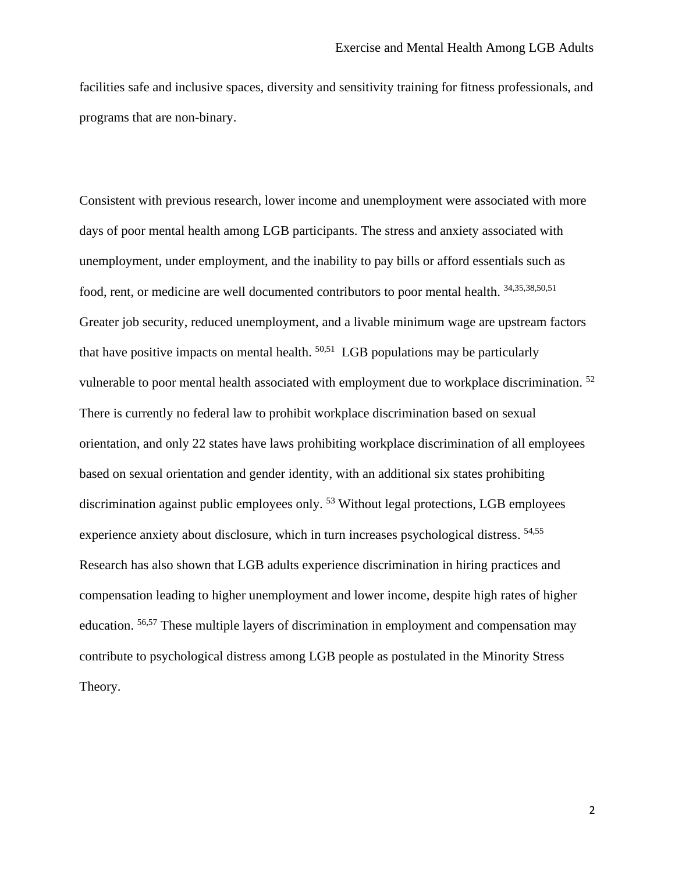facilities safe and inclusive spaces, diversity and sensitivity training for fitness professionals, and programs that are non-binary.

Consistent with previous research, lower income and unemployment were associated with more days of poor mental health among LGB participants. The stress and anxiety associated with unemployment, under employment, and the inability to pay bills or afford essentials such as food, rent, or medicine are well documented contributors to poor mental health. 34,35,38,50,51 Greater job security, reduced unemployment, and a livable minimum wage are upstream factors that have positive impacts on mental health.  $50,51$  LGB populations may be particularly vulnerable to poor mental health associated with employment due to workplace discrimination.<sup>52</sup> There is currently no federal law to prohibit workplace discrimination based on sexual orientation, and only 22 states have laws prohibiting workplace discrimination of all employees based on sexual orientation and gender identity, with an additional six states prohibiting discrimination against public employees only. <sup>53</sup> Without legal protections, LGB employees experience anxiety about disclosure, which in turn increases psychological distress. <sup>54,55</sup> Research has also shown that LGB adults experience discrimination in hiring practices and compensation leading to higher unemployment and lower income, despite high rates of higher education.<sup>56,57</sup> These multiple layers of discrimination in employment and compensation may contribute to psychological distress among LGB people as postulated in the Minority Stress Theory.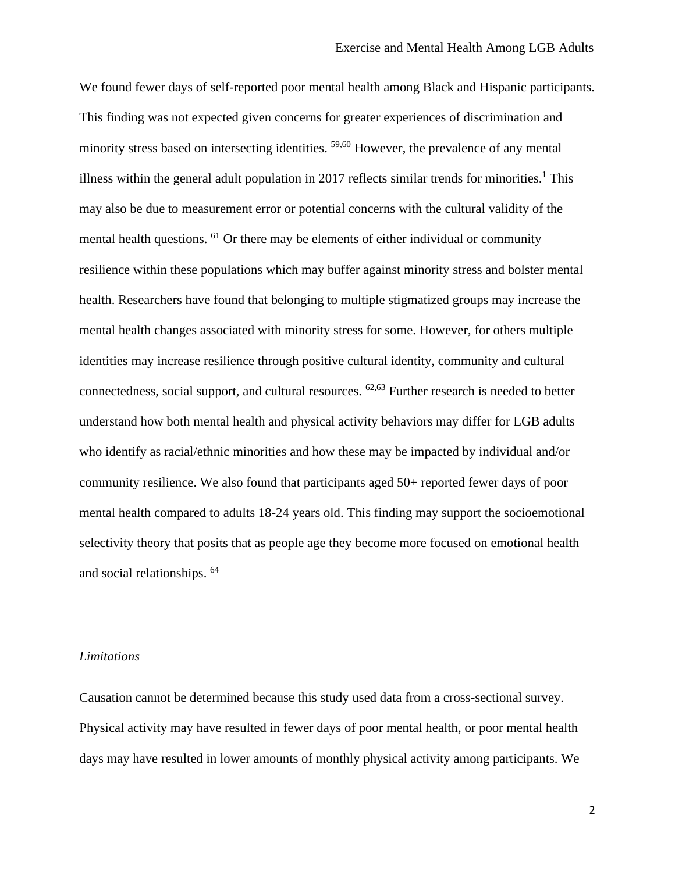We found fewer days of self-reported poor mental health among Black and Hispanic participants. This finding was not expected given concerns for greater experiences of discrimination and minority stress based on intersecting identities. <sup>59,60</sup> However, the prevalence of any mental illness within the general adult population in 2017 reflects similar trends for minorities.<sup>1</sup> This may also be due to measurement error or potential concerns with the cultural validity of the mental health questions. <sup>61</sup> Or there may be elements of either individual or community resilience within these populations which may buffer against minority stress and bolster mental health. Researchers have found that belonging to multiple stigmatized groups may increase the mental health changes associated with minority stress for some. However, for others multiple identities may increase resilience through positive cultural identity, community and cultural connectedness, social support, and cultural resources. 62,63 Further research is needed to better understand how both mental health and physical activity behaviors may differ for LGB adults who identify as racial/ethnic minorities and how these may be impacted by individual and/or community resilience. We also found that participants aged 50+ reported fewer days of poor mental health compared to adults 18-24 years old. This finding may support the socioemotional selectivity theory that posits that as people age they become more focused on emotional health and social relationships. 64

#### *Limitations*

Causation cannot be determined because this study used data from a cross-sectional survey. Physical activity may have resulted in fewer days of poor mental health, or poor mental health days may have resulted in lower amounts of monthly physical activity among participants. We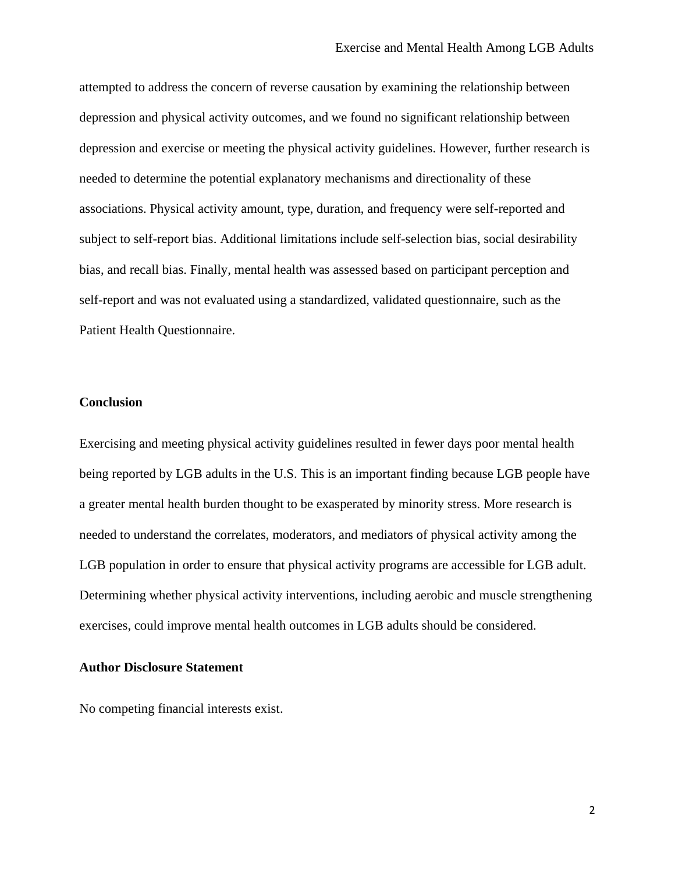attempted to address the concern of reverse causation by examining the relationship between depression and physical activity outcomes, and we found no significant relationship between depression and exercise or meeting the physical activity guidelines. However, further research is needed to determine the potential explanatory mechanisms and directionality of these associations. Physical activity amount, type, duration, and frequency were self-reported and subject to self-report bias. Additional limitations include self-selection bias, social desirability bias, and recall bias. Finally, mental health was assessed based on participant perception and self-report and was not evaluated using a standardized, validated questionnaire, such as the Patient Health Questionnaire.

#### **Conclusion**

Exercising and meeting physical activity guidelines resulted in fewer days poor mental health being reported by LGB adults in the U.S. This is an important finding because LGB people have a greater mental health burden thought to be exasperated by minority stress. More research is needed to understand the correlates, moderators, and mediators of physical activity among the LGB population in order to ensure that physical activity programs are accessible for LGB adult. Determining whether physical activity interventions, including aerobic and muscle strengthening exercises, could improve mental health outcomes in LGB adults should be considered.

#### **Author Disclosure Statement**

No competing financial interests exist.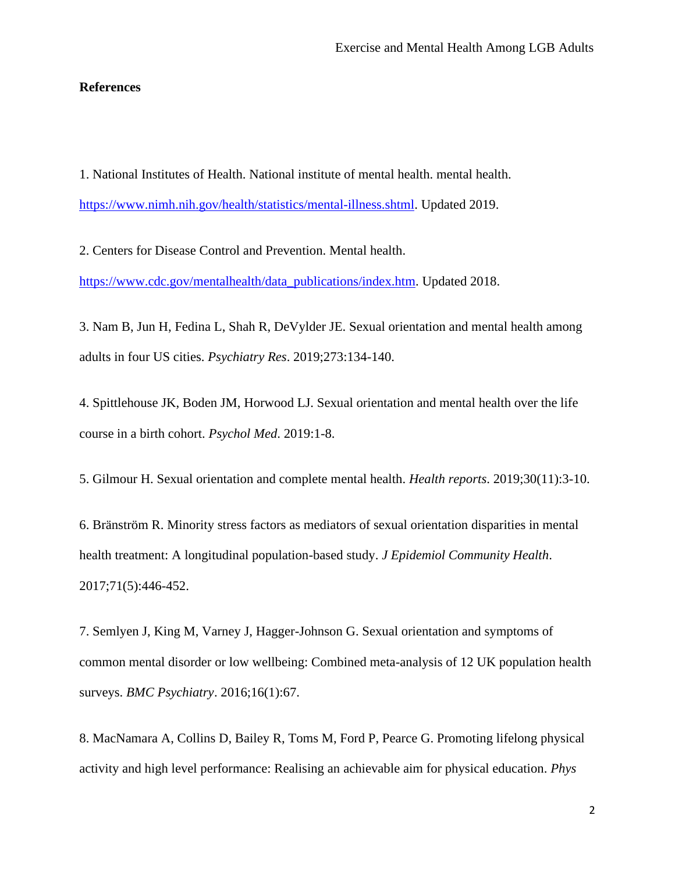#### **References**

1. National Institutes of Health. National institute of mental health. mental health. [https://www.nimh.nih.gov/health/statistics/mental-illness.shtml.](about:blank) Updated 2019.

2. Centers for Disease Control and Prevention. Mental health. [https://www.cdc.gov/mentalhealth/data\\_publications/index.htm.](about:blank) Updated 2018.

3. Nam B, Jun H, Fedina L, Shah R, DeVylder JE. Sexual orientation and mental health among adults in four US cities. *Psychiatry Res*. 2019;273:134-140.

4. Spittlehouse JK, Boden JM, Horwood LJ. Sexual orientation and mental health over the life course in a birth cohort. *Psychol Med*. 2019:1-8.

5. Gilmour H. Sexual orientation and complete mental health. *Health reports*. 2019;30(11):3-10.

6. Bränström R. Minority stress factors as mediators of sexual orientation disparities in mental health treatment: A longitudinal population-based study. *J Epidemiol Community Health*. 2017;71(5):446-452.

7. Semlyen J, King M, Varney J, Hagger-Johnson G. Sexual orientation and symptoms of common mental disorder or low wellbeing: Combined meta-analysis of 12 UK population health surveys. *BMC Psychiatry*. 2016;16(1):67.

8. MacNamara A, Collins D, Bailey R, Toms M, Ford P, Pearce G. Promoting lifelong physical activity and high level performance: Realising an achievable aim for physical education. *Phys*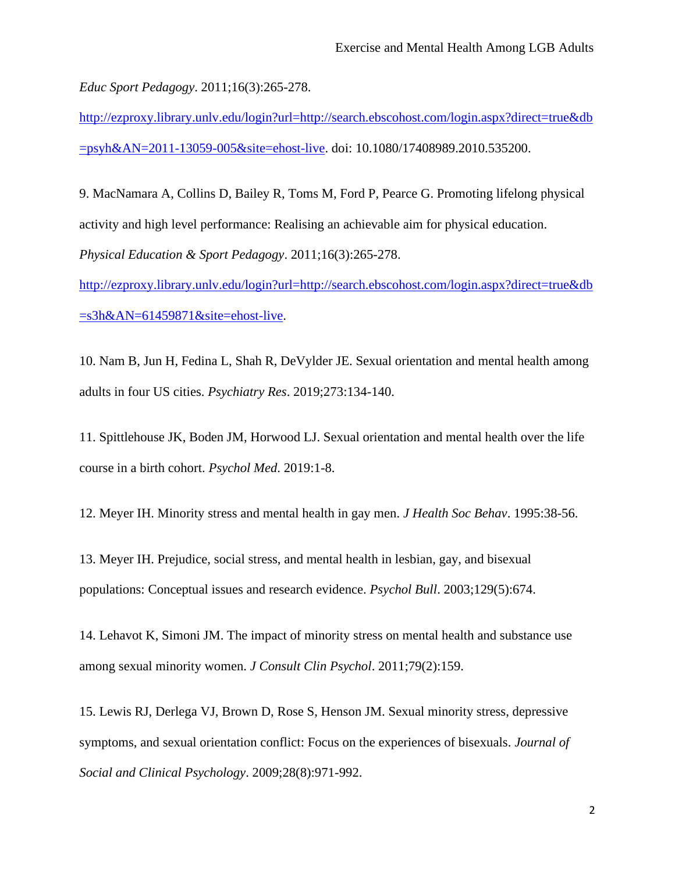*Educ Sport Pedagogy*. 2011;16(3):265-278.

[http://ezproxy.library.unlv.edu/login?url=http://search.ebscohost.com/login.aspx?direct=true&db](about:blank) [=psyh&AN=2011-13059-005&site=ehost-live.](about:blank) doi: 10.1080/17408989.2010.535200.

9. MacNamara A, Collins D, Bailey R, Toms M, Ford P, Pearce G. Promoting lifelong physical activity and high level performance: Realising an achievable aim for physical education. *Physical Education & Sport Pedagogy*. 2011;16(3):265-278.

[http://ezproxy.library.unlv.edu/login?url=http://search.ebscohost.com/login.aspx?direct=true&db](about:blank) [=s3h&AN=61459871&site=ehost-live.](about:blank)

10. Nam B, Jun H, Fedina L, Shah R, DeVylder JE. Sexual orientation and mental health among adults in four US cities. *Psychiatry Res*. 2019;273:134-140.

11. Spittlehouse JK, Boden JM, Horwood LJ. Sexual orientation and mental health over the life course in a birth cohort. *Psychol Med*. 2019:1-8.

12. Meyer IH. Minority stress and mental health in gay men. *J Health Soc Behav*. 1995:38-56.

13. Meyer IH. Prejudice, social stress, and mental health in lesbian, gay, and bisexual populations: Conceptual issues and research evidence. *Psychol Bull*. 2003;129(5):674.

14. Lehavot K, Simoni JM. The impact of minority stress on mental health and substance use among sexual minority women. *J Consult Clin Psychol*. 2011;79(2):159.

15. Lewis RJ, Derlega VJ, Brown D, Rose S, Henson JM. Sexual minority stress, depressive symptoms, and sexual orientation conflict: Focus on the experiences of bisexuals. *Journal of Social and Clinical Psychology*. 2009;28(8):971-992.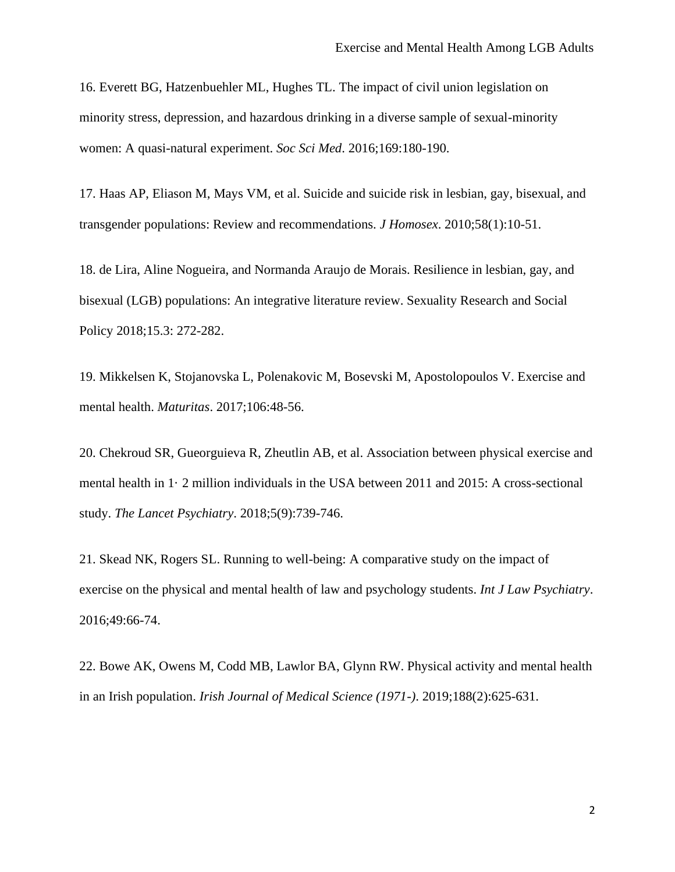16. Everett BG, Hatzenbuehler ML, Hughes TL. The impact of civil union legislation on minority stress, depression, and hazardous drinking in a diverse sample of sexual-minority women: A quasi-natural experiment. *Soc Sci Med*. 2016;169:180-190.

17. Haas AP, Eliason M, Mays VM, et al. Suicide and suicide risk in lesbian, gay, bisexual, and transgender populations: Review and recommendations. *J Homosex*. 2010;58(1):10-51.

18. de Lira, Aline Nogueira, and Normanda Araujo de Morais. Resilience in lesbian, gay, and bisexual (LGB) populations: An integrative literature review. Sexuality Research and Social Policy 2018;15.3: 272-282.

19. Mikkelsen K, Stojanovska L, Polenakovic M, Bosevski M, Apostolopoulos V. Exercise and mental health. *Maturitas*. 2017;106:48-56.

20. Chekroud SR, Gueorguieva R, Zheutlin AB, et al. Association between physical exercise and mental health in  $1 \cdot 2$  million individuals in the USA between 2011 and 2015: A cross-sectional study. *The Lancet Psychiatry*. 2018;5(9):739-746.

21. Skead NK, Rogers SL. Running to well-being: A comparative study on the impact of exercise on the physical and mental health of law and psychology students. *Int J Law Psychiatry*. 2016;49:66-74.

22. Bowe AK, Owens M, Codd MB, Lawlor BA, Glynn RW. Physical activity and mental health in an Irish population. *Irish Journal of Medical Science (1971-)*. 2019;188(2):625-631.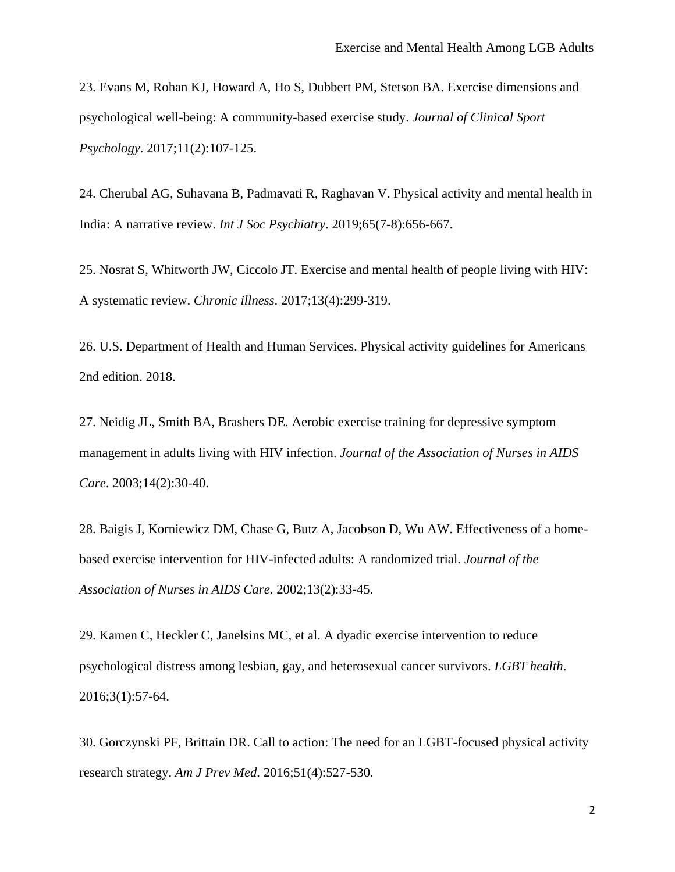23. Evans M, Rohan KJ, Howard A, Ho S, Dubbert PM, Stetson BA. Exercise dimensions and psychological well-being: A community-based exercise study. *Journal of Clinical Sport Psychology*. 2017;11(2):107-125.

24. Cherubal AG, Suhavana B, Padmavati R, Raghavan V. Physical activity and mental health in India: A narrative review. *Int J Soc Psychiatry*. 2019;65(7-8):656-667.

25. Nosrat S, Whitworth JW, Ciccolo JT. Exercise and mental health of people living with HIV: A systematic review. *Chronic illness*. 2017;13(4):299-319.

26. U.S. Department of Health and Human Services. Physical activity guidelines for Americans 2nd edition. 2018.

27. Neidig JL, Smith BA, Brashers DE. Aerobic exercise training for depressive symptom management in adults living with HIV infection. *Journal of the Association of Nurses in AIDS Care*. 2003;14(2):30-40.

28. Baigis J, Korniewicz DM, Chase G, Butz A, Jacobson D, Wu AW. Effectiveness of a homebased exercise intervention for HIV-infected adults: A randomized trial. *Journal of the Association of Nurses in AIDS Care*. 2002;13(2):33-45.

29. Kamen C, Heckler C, Janelsins MC, et al. A dyadic exercise intervention to reduce psychological distress among lesbian, gay, and heterosexual cancer survivors. *LGBT health*. 2016;3(1):57-64.

30. Gorczynski PF, Brittain DR. Call to action: The need for an LGBT-focused physical activity research strategy. *Am J Prev Med*. 2016;51(4):527-530.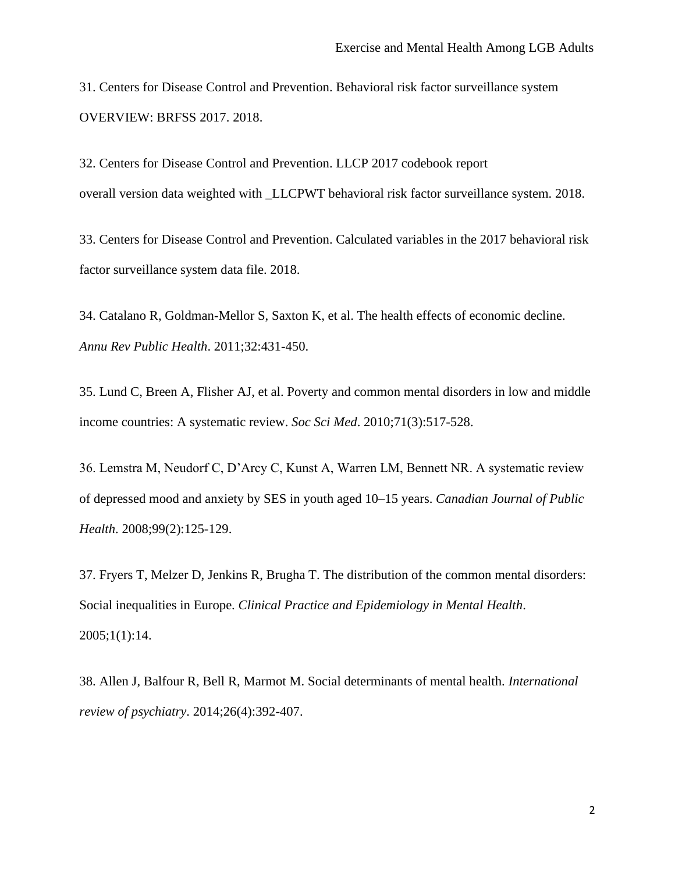31. Centers for Disease Control and Prevention. Behavioral risk factor surveillance system OVERVIEW: BRFSS 2017. 2018.

32. Centers for Disease Control and Prevention. LLCP 2017 codebook report overall version data weighted with \_LLCPWT behavioral risk factor surveillance system. 2018.

33. Centers for Disease Control and Prevention. Calculated variables in the 2017 behavioral risk factor surveillance system data file. 2018.

34. Catalano R, Goldman-Mellor S, Saxton K, et al. The health effects of economic decline. *Annu Rev Public Health*. 2011;32:431-450.

35. Lund C, Breen A, Flisher AJ, et al. Poverty and common mental disorders in low and middle income countries: A systematic review. *Soc Sci Med*. 2010;71(3):517-528.

36. Lemstra M, Neudorf C, D'Arcy C, Kunst A, Warren LM, Bennett NR. A systematic review of depressed mood and anxiety by SES in youth aged 10–15 years. *Canadian Journal of Public Health*. 2008;99(2):125-129.

37. Fryers T, Melzer D, Jenkins R, Brugha T. The distribution of the common mental disorders: Social inequalities in Europe. *Clinical Practice and Epidemiology in Mental Health*. 2005;1(1):14.

38. Allen J, Balfour R, Bell R, Marmot M. Social determinants of mental health. *International review of psychiatry*. 2014;26(4):392-407.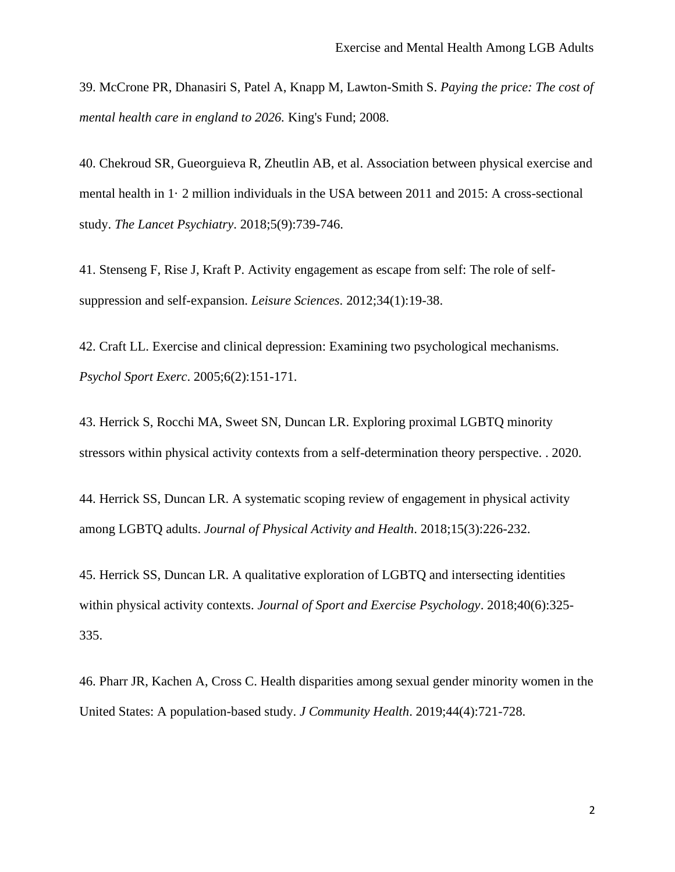39. McCrone PR, Dhanasiri S, Patel A, Knapp M, Lawton-Smith S. *Paying the price: The cost of mental health care in england to 2026.* King's Fund; 2008.

40. Chekroud SR, Gueorguieva R, Zheutlin AB, et al. Association between physical exercise and mental health in 1· 2 million individuals in the USA between 2011 and 2015: A cross-sectional study. *The Lancet Psychiatry*. 2018;5(9):739-746.

41. Stenseng F, Rise J, Kraft P. Activity engagement as escape from self: The role of selfsuppression and self-expansion. *Leisure Sciences*. 2012;34(1):19-38.

42. Craft LL. Exercise and clinical depression: Examining two psychological mechanisms. *Psychol Sport Exerc*. 2005;6(2):151-171.

43. Herrick S, Rocchi MA, Sweet SN, Duncan LR. Exploring proximal LGBTQ minority stressors within physical activity contexts from a self-determination theory perspective. . 2020.

44. Herrick SS, Duncan LR. A systematic scoping review of engagement in physical activity among LGBTQ adults. *Journal of Physical Activity and Health*. 2018;15(3):226-232.

45. Herrick SS, Duncan LR. A qualitative exploration of LGBTQ and intersecting identities within physical activity contexts. *Journal of Sport and Exercise Psychology*. 2018;40(6):325- 335.

46. Pharr JR, Kachen A, Cross C. Health disparities among sexual gender minority women in the United States: A population-based study. *J Community Health*. 2019;44(4):721-728.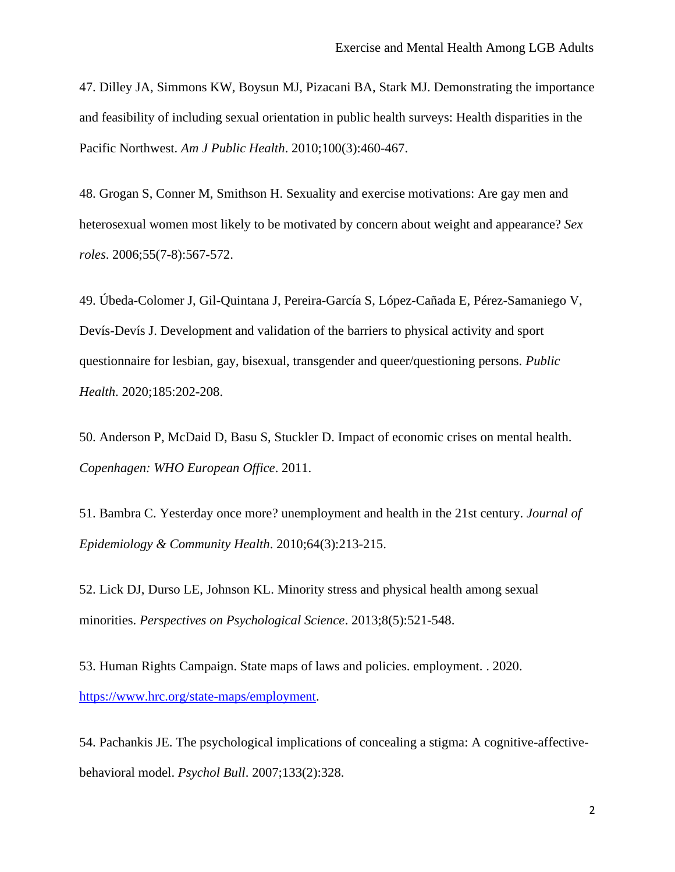47. Dilley JA, Simmons KW, Boysun MJ, Pizacani BA, Stark MJ. Demonstrating the importance and feasibility of including sexual orientation in public health surveys: Health disparities in the Pacific Northwest. *Am J Public Health*. 2010;100(3):460-467.

48. Grogan S, Conner M, Smithson H. Sexuality and exercise motivations: Are gay men and heterosexual women most likely to be motivated by concern about weight and appearance? *Sex roles*. 2006;55(7-8):567-572.

49. Úbeda-Colomer J, Gil-Quintana J, Pereira-García S, López-Cañada E, Pérez-Samaniego V, Devís-Devís J. Development and validation of the barriers to physical activity and sport questionnaire for lesbian, gay, bisexual, transgender and queer/questioning persons. *Public Health*. 2020;185:202-208.

50. Anderson P, McDaid D, Basu S, Stuckler D. Impact of economic crises on mental health. *Copenhagen: WHO European Office*. 2011.

51. Bambra C. Yesterday once more? unemployment and health in the 21st century. *Journal of Epidemiology & Community Health*. 2010;64(3):213-215.

52. Lick DJ, Durso LE, Johnson KL. Minority stress and physical health among sexual minorities. *Perspectives on Psychological Science*. 2013;8(5):521-548.

53. Human Rights Campaign. State maps of laws and policies. employment. . 2020. [https://www.hrc.org/state-maps/employment.](about:blank)

54. Pachankis JE. The psychological implications of concealing a stigma: A cognitive-affectivebehavioral model. *Psychol Bull*. 2007;133(2):328.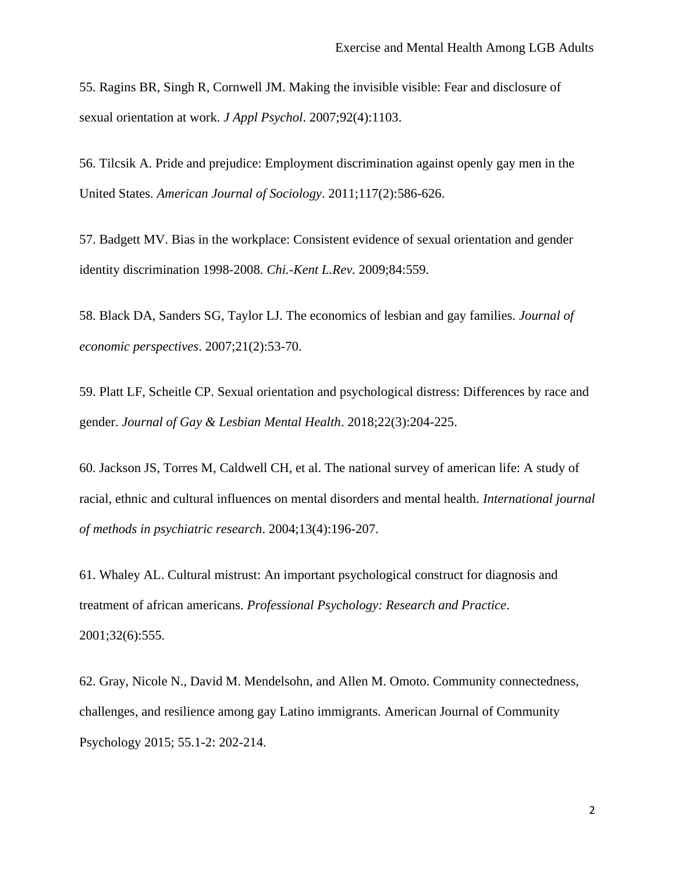55. Ragins BR, Singh R, Cornwell JM. Making the invisible visible: Fear and disclosure of sexual orientation at work. *J Appl Psychol*. 2007;92(4):1103.

56. Tilcsik A. Pride and prejudice: Employment discrimination against openly gay men in the United States. *American Journal of Sociology*. 2011;117(2):586-626.

57. Badgett MV. Bias in the workplace: Consistent evidence of sexual orientation and gender identity discrimination 1998-2008. *Chi.-Kent L.Rev.* 2009;84:559.

58. Black DA, Sanders SG, Taylor LJ. The economics of lesbian and gay families. *Journal of economic perspectives*. 2007;21(2):53-70.

59. Platt LF, Scheitle CP. Sexual orientation and psychological distress: Differences by race and gender. *Journal of Gay & Lesbian Mental Health*. 2018;22(3):204-225.

60. Jackson JS, Torres M, Caldwell CH, et al. The national survey of american life: A study of racial, ethnic and cultural influences on mental disorders and mental health. *International journal of methods in psychiatric research*. 2004;13(4):196-207.

61. Whaley AL. Cultural mistrust: An important psychological construct for diagnosis and treatment of african americans. *Professional Psychology: Research and Practice*. 2001;32(6):555.

62. Gray, Nicole N., David M. Mendelsohn, and Allen M. Omoto. Community connectedness, challenges, and resilience among gay Latino immigrants. American Journal of Community Psychology 2015; 55.1-2: 202-214.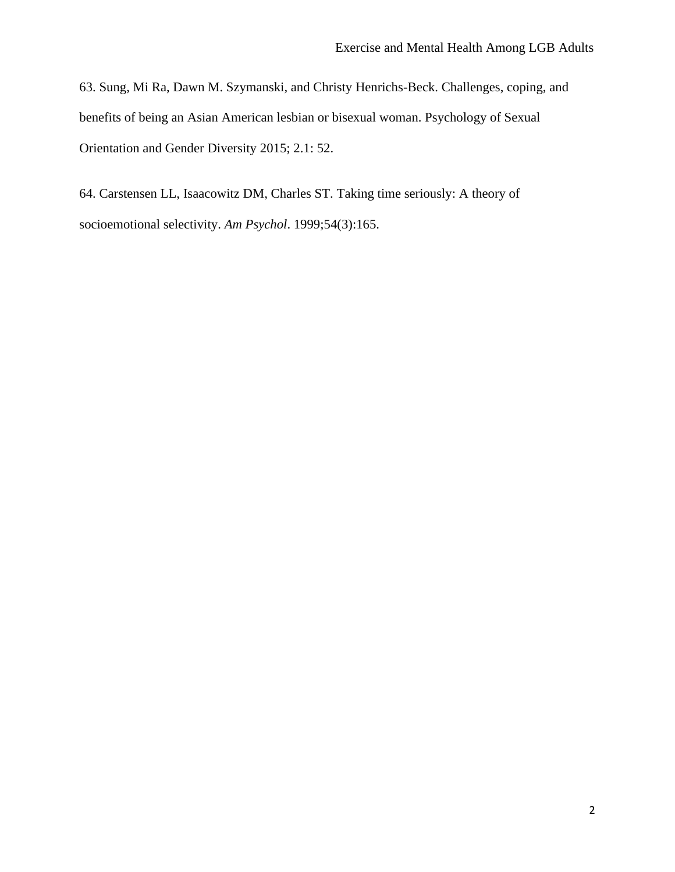63. Sung, Mi Ra, Dawn M. Szymanski, and Christy Henrichs-Beck. Challenges, coping, and benefits of being an Asian American lesbian or bisexual woman. Psychology of Sexual Orientation and Gender Diversity 2015; 2.1: 52.

64. Carstensen LL, Isaacowitz DM, Charles ST. Taking time seriously: A theory of socioemotional selectivity. *Am Psychol*. 1999;54(3):165.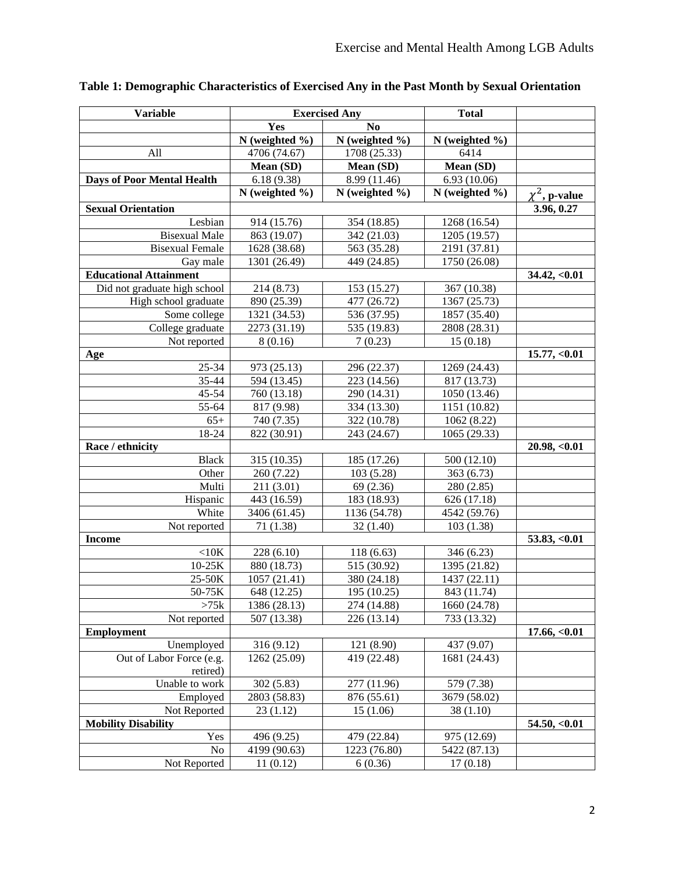| <b>Variable</b>                   | <b>Exercised Any</b> |                  | <b>Total</b>       |                    |
|-----------------------------------|----------------------|------------------|--------------------|--------------------|
|                                   | Yes                  | N <sub>0</sub>   |                    |                    |
|                                   | N (weighted $\%$ )   | $N$ (weighted %) | N (weighted $\%$ ) |                    |
| All                               | 4706 (74.67)         | 1708 (25.33)     | 6414               |                    |
|                                   | Mean (SD)            | Mean (SD)        | Mean (SD)          |                    |
| <b>Days of Poor Mental Health</b> | 6.18(9.38)           | 8.99 (11.46)     | 6.93(10.06)        |                    |
|                                   | N (weighted $\%$ )   | $N$ (weighted %) | N (weighted $\%$ ) | $\chi^2$ , p-value |
| <b>Sexual Orientation</b>         |                      |                  |                    | 3.96, 0.27         |
| Lesbian                           | 914 (15.76)          | 354 (18.85)      | 1268 (16.54)       |                    |
| <b>Bisexual Male</b>              | 863 (19.07)          | 342 (21.03)      | 1205 (19.57)       |                    |
| <b>Bisexual Female</b>            | 1628 (38.68)         | 563 (35.28)      | 2191 (37.81)       |                    |
| Gay male                          | 1301 (26.49)         | 449 (24.85)      | 1750 (26.08)       |                    |
| <b>Educational Attainment</b>     |                      |                  |                    | 34.42, < 0.01      |
| Did not graduate high school      | 214 (8.73)           | 153 (15.27)      | 367 (10.38)        |                    |
| High school graduate              | 890 (25.39)          | 477 (26.72)      | 1367 (25.73)       |                    |
| Some college                      | 1321 (34.53)         | 536 (37.95)      | 1857 (35.40)       |                    |
| College graduate                  | 2273 (31.19)         | 535 (19.83)      | 2808 (28.31)       |                    |
| Not reported                      | 8(0.16)              | 7(0.23)          | 15(0.18)           |                    |
| Age                               |                      |                  |                    | 15.77, <0.01       |
| 25-34                             | 973 (25.13)          | 296 (22.37)      | 1269 (24.43)       |                    |
| 35-44                             | 594 (13.45)          | 223 (14.56)      | 817 (13.73)        |                    |
| 45-54                             | 760 (13.18)          | 290 (14.31)      | 1050 (13.46)       |                    |
| 55-64                             | 817 (9.98)           | 334 (13.30)      | 1151 (10.82)       |                    |
| $65+$                             | 740 (7.35)           | 322 (10.78)      | 1062(8.22)         |                    |
| 18-24                             | 822 (30.91)          | 243 (24.67)      | 1065 (29.33)       |                    |
| Race / ethnicity                  |                      |                  |                    | 20.98, <0.01       |
| <b>Black</b>                      | 315 (10.35)          | 185 (17.26)      | 500 (12.10)        |                    |
| Other                             | 260 (7.22)           | 103 (5.28)       | 363 (6.73)         |                    |
| Multi                             | 211 (3.01)           | 69 (2.36)        | 280 (2.85)         |                    |
| Hispanic                          | 443 (16.59)          | 183 (18.93)      | 626 (17.18)        |                    |
| White                             | 3406 (61.45)         | 1136 (54.78)     | 4542 (59.76)       |                    |
| Not reported                      | 71 (1.38)            | 32(1.40)         | 103(1.38)          |                    |
| <b>Income</b>                     |                      |                  |                    | 53.83, <0.01       |
| $<$ $10K$                         | 228(6.10)            | 118(6.63)        | 346 (6.23)         |                    |
| 10-25K                            | 880 (18.73)          | 515 (30.92)      | 1395 (21.82)       |                    |
| 25-50K                            | 1057 (21.41)         | 380 (24.18)      | 1437 (22.11)       |                    |
| 50-75K                            | 648 (12.25)          | 195 (10.25)      | 843 (11.74)        |                    |
| >75k                              | 1386 (28.13)         | 274 (14.88)      | 1660 (24.78)       |                    |
| Not reported                      | 507 (13.38)          | 226 (13.14)      | 733 (13.32)        |                    |
| <b>Employment</b>                 |                      |                  |                    | 17.66, <0.01       |
| Unemployed                        | 316 (9.12)           | 121 (8.90)       | 437 (9.07)         |                    |
| Out of Labor Force (e.g.          | 1262 (25.09)         | 419 (22.48)      | 1681 (24.43)       |                    |
| retired)                          |                      |                  |                    |                    |
| Unable to work                    | 302 (5.83)           | 277 (11.96)      | 579 (7.38)         |                    |
| Employed                          | 2803 (58.83)         | 876 (55.61)      | 3679 (58.02)       |                    |
| Not Reported                      | 23(1.12)             | 15(1.06)         | 38(1.10)           |                    |
| <b>Mobility Disability</b>        |                      |                  |                    | 54.50, <0.01       |
| Yes                               | 496 (9.25)           | 479 (22.84)      | 975 (12.69)        |                    |
| No                                | 4199 (90.63)         | 1223 (76.80)     | 5422 (87.13)       |                    |
| Not Reported                      | 11(0.12)             | 6(0.36)          | 17(0.18)           |                    |

### **Table 1: Demographic Characteristics of Exercised Any in the Past Month by Sexual Orientation**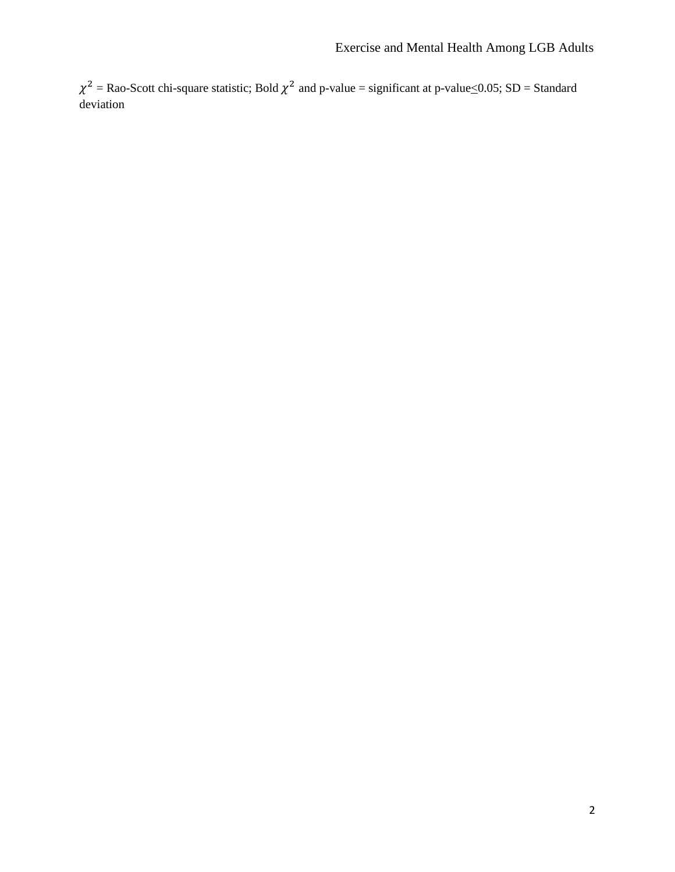$\chi^2$  = Rao-Scott chi-square statistic; Bold  $\chi^2$  and p-value = significant at p-value  $\leq$ 0.05; SD = Standard deviation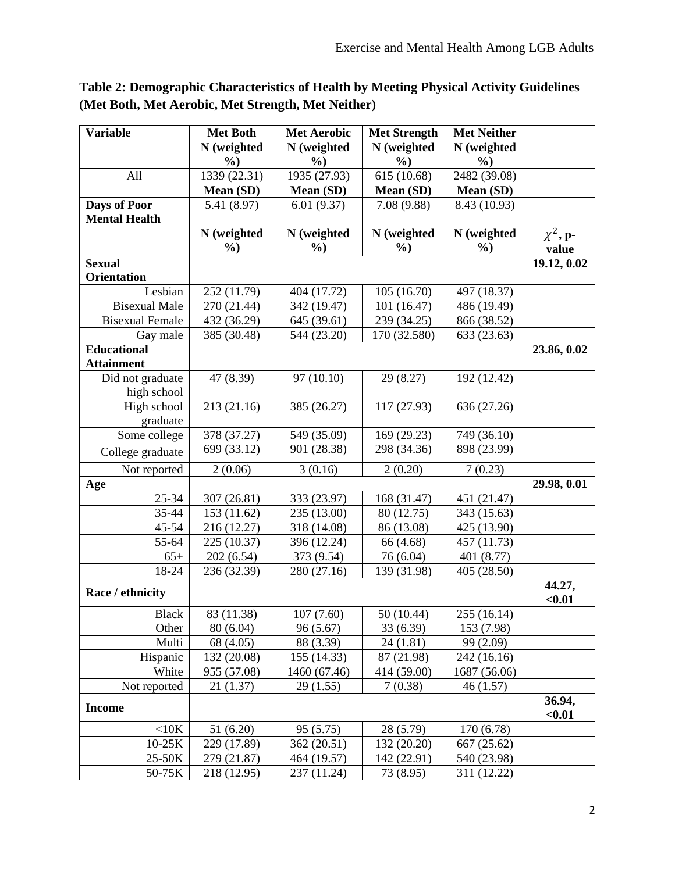| <b>Variable</b>                         | <b>Met Both</b> | <b>Met Aerobic</b> | <b>Met Strength</b>      | <b>Met Neither</b> |                  |
|-----------------------------------------|-----------------|--------------------|--------------------------|--------------------|------------------|
|                                         | N (weighted     | N (weighted        | N (weighted              | N (weighted        |                  |
|                                         | $\frac{9}{0}$   | $\frac{6}{9}$      | $\frac{0}{0}$            | $\frac{0}{0}$      |                  |
| All                                     | 1339 (22.31)    | 1935 (27.93)       | 615 (10.68)              | 2482 (39.08)       |                  |
|                                         | Mean (SD)       | Mean (SD)          | Mean (SD)                | Mean (SD)          |                  |
| Days of Poor                            | 5.41 (8.97)     | 6.01(9.37)         | 7.08 (9.88)              | 8.43 (10.93)       |                  |
| <b>Mental Health</b>                    |                 |                    |                          |                    |                  |
|                                         | N (weighted     | N (weighted        | N (weighted              | N (weighted        | $\chi^2$ , p-    |
|                                         | $\frac{0}{0}$   | $\%$ )             | $\frac{0}{0}$            | $\frac{9}{0}$      | value            |
| <b>Sexual</b><br>Orientation            |                 |                    |                          |                    | 19.12, 0.02      |
| Lesbian                                 | 252 (11.79)     | 404 (17.72)        | 105(16.70)               | 497 (18.37)        |                  |
| <b>Bisexual Male</b>                    | 270 (21.44)     | 342 (19.47)        | 101(16.47)               | 486 (19.49)        |                  |
| <b>Bisexual Female</b>                  | 432 (36.29)     | 645 (39.61)        | 239 (34.25)              | 866 (38.52)        |                  |
| Gay male                                | 385 (30.48)     | 544 (23.20)        | 170 (32.580)             | 633 (23.63)        |                  |
| <b>Educational</b><br><b>Attainment</b> |                 |                    |                          |                    | 23.86, 0.02      |
| Did not graduate<br>high school         | 47 (8.39)       | 97 (10.10)         | 29(8.27)                 | 192 (12.42)        |                  |
| High school                             | 213 (21.16)     | 385 (26.27)        | 117 (27.93)              | 636 (27.26)        |                  |
| graduate                                |                 |                    |                          |                    |                  |
| Some college                            | 378 (37.27)     | 549 (35.09)        | 169 (29.23)              | 749 (36.10)        |                  |
| College graduate                        | 699 (33.12)     | 901 (28.38)        | 298 (34.36)              | 898 (23.99)        |                  |
| Not reported                            | 2(0.06)         | 3(0.16)            | 2(0.20)                  | 7(0.23)            |                  |
| Age                                     |                 |                    |                          |                    | 29.98, 0.01      |
| 25-34                                   | 307 (26.81)     | 333 (23.97)        | 168 (31.47)              | 451 (21.47)        |                  |
| 35-44                                   | 153 (11.62)     | 235 (13.00)        | 80 (12.75)               | 343 (15.63)        |                  |
| 45-54                                   | 216 (12.27)     | 318 (14.08)        | 86 (13.08)               | 425 (13.90)        |                  |
| 55-64                                   | 225 (10.37)     | 396 (12.24)        | 66 (4.68)<br>457 (11.73) |                    |                  |
| $65+$                                   | 202 (6.54)      | 373 (9.54)         | 76 (6.04)                | 401 (8.77)         |                  |
| 18-24                                   | 236 (32.39)     | 280 (27.16)        | 139 (31.98)              | 405 (28.50)        |                  |
| Race / ethnicity                        |                 |                    |                          |                    | 44.27,<br>$0.01$ |
| <b>Black</b>                            | 83 (11.38)      | 107(7.60)          | 50 (10.44)               | 255 (16.14)        |                  |
| Other                                   | 80 (6.04)       | 96 (5.67)          | 33 (6.39)                | 153 (7.98)         |                  |
| Multi                                   | 68 (4.05)       | 88 (3.39)          | 24(1.81)                 | 99 (2.09)          |                  |
| Hispanic                                | 132 (20.08)     | 155 (14.33)        | 87 (21.98)               | 242 (16.16)        |                  |
| White                                   | 955 (57.08)     | 1460 (67.46)       | 414 (59.00)              | 1687 (56.06)       |                  |
| Not reported                            | 21(1.37)        | 29(1.55)           | 7(0.38)                  | 46(1.57)           |                  |
| <b>Income</b>                           |                 |                    |                          |                    | 36.94,<br>$0.01$ |
| $<$ 10 $K$                              | 51(6.20)        | 95 (5.75)          | 28 (5.79)                | 170 (6.78)         |                  |
| $10-25K$                                | 229 (17.89)     | 362 (20.51)        | 132 (20.20)              | 667 (25.62)        |                  |
| 25-50K                                  | 279 (21.87)     | 464 (19.57)        | 142 (22.91)              | 540 (23.98)        |                  |
| 50-75K                                  | 218 (12.95)     | 237 (11.24)        | 73 (8.95)                | 311 (12.22)        |                  |

### **Table 2: Demographic Characteristics of Health by Meeting Physical Activity Guidelines (Met Both, Met Aerobic, Met Strength, Met Neither)**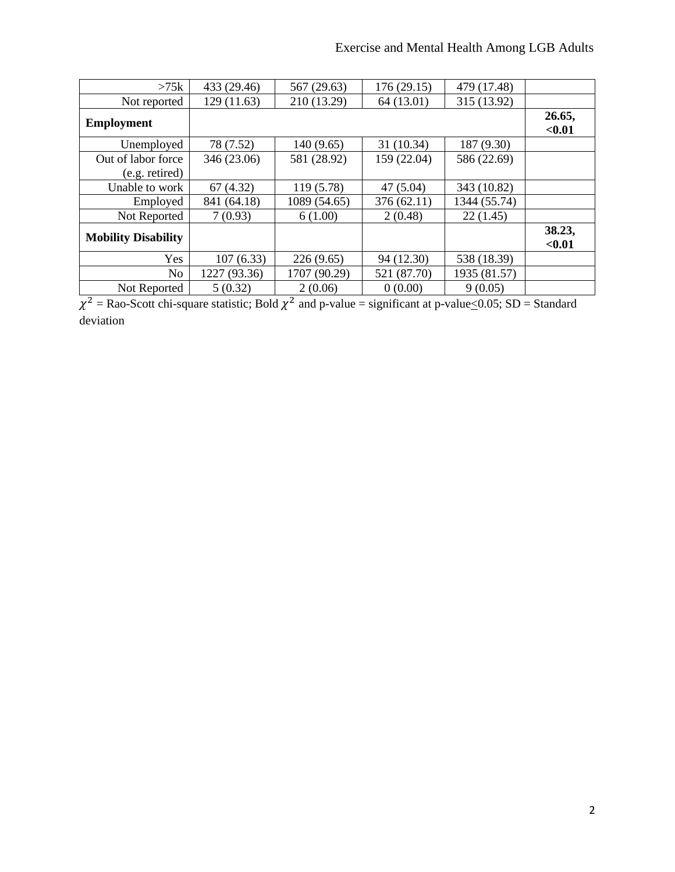| >75k                                 | 433 (29.46)  | 567 (29.63)  | 176(29.15)  | 479 (17.48)  |                  |
|--------------------------------------|--------------|--------------|-------------|--------------|------------------|
| Not reported                         | 129 (11.63)  | 210 (13.29)  | 64 (13.01)  | 315 (13.92)  |                  |
| <b>Employment</b>                    |              |              |             |              | 26.65,<br>$0.01$ |
| Unemployed                           | 78 (7.52)    | 140(9.65)    | 31 (10.34)  | 187 (9.30)   |                  |
| Out of labor force<br>(e.g. retired) | 346 (23.06)  | 581 (28.92)  | 159 (22.04) | 586 (22.69)  |                  |
| Unable to work                       | 67(4.32)     | 119 (5.78)   | 47(5.04)    | 343 (10.82)  |                  |
| Employed                             | 841 (64.18)  | 1089 (54.65) | 376(62.11)  | 1344 (55.74) |                  |
| Not Reported                         | 7(0.93)      | 6(1.00)      | 2(0.48)     | 22(1.45)     |                  |
| <b>Mobility Disability</b>           |              |              |             |              | 38.23,<br>$0.01$ |
| Yes                                  | 107(6.33)    | 226(9.65)    | 94 (12.30)  | 538 (18.39)  |                  |
| N <sub>0</sub>                       | 1227 (93.36) | 1707 (90.29) | 521 (87.70) | 1935 (81.57) |                  |
| Not Reported                         | 5(0.32)      | 2(0.06)      | 0(0.00)     | 9(0.05)      |                  |

 $\chi^2$  = Rao-Scott chi-square statistic; Bold  $\chi^2$  and p-value = significant at p-value  $\leq$ 0.05; SD = Standard deviation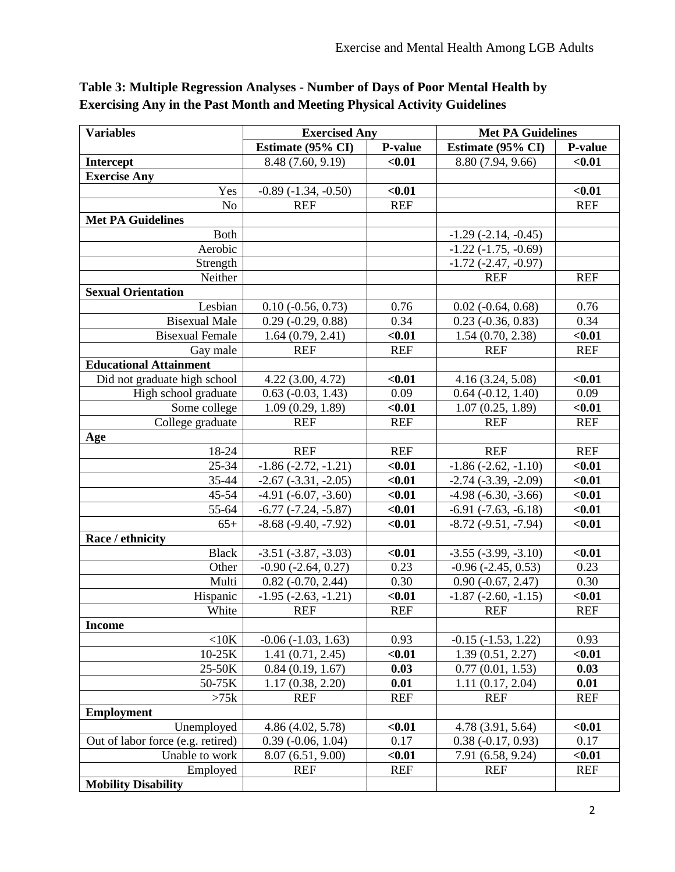| <b>Variables</b>                  | <b>Exercised Any</b>        |            | <b>Met PA Guidelines</b>    |            |  |
|-----------------------------------|-----------------------------|------------|-----------------------------|------------|--|
|                                   | Estimate (95% CI)           | P-value    | Estimate (95% CI)           | P-value    |  |
| Intercept                         | 8.48 (7.60, 9.19)           | $0.01$     | 8.80 (7.94, 9.66)           | $0.01$     |  |
| <b>Exercise Any</b>               |                             |            |                             |            |  |
| Yes                               | $-0.89(-1.34, -0.50)$       | $0.01$     |                             | $0.01$     |  |
| N <sub>o</sub>                    | <b>REF</b>                  | <b>REF</b> |                             | <b>REF</b> |  |
| <b>Met PA Guidelines</b>          |                             |            |                             |            |  |
| <b>Both</b>                       |                             |            | $-1.29$ $(-2.14, -0.45)$    |            |  |
| Aerobic                           |                             |            | $-1.22$ $(-1.75, -0.69)$    |            |  |
| Strength                          |                             |            | $-1.72$ $(-2.47, -0.97)$    |            |  |
| Neither                           |                             |            | <b>REF</b>                  | <b>REF</b> |  |
| <b>Sexual Orientation</b>         |                             |            |                             |            |  |
| Lesbian                           | $0.10 (-0.56, 0.73)$        | 0.76       | $0.02$ ( $-0.64$ , $0.68$ ) | 0.76       |  |
| <b>Bisexual Male</b>              | $0.29$ ( $-0.29$ , $0.88$ ) | 0.34       | $0.23$ ( $-0.36$ , $0.83$ ) | 0.34       |  |
| <b>Bisexual Female</b>            | 1.64(0.79, 2.41)            | $0.01$     | 1.54(0.70, 2.38)            | $0.01$     |  |
| Gay male                          | <b>REF</b>                  | <b>REF</b> | <b>REF</b>                  | <b>REF</b> |  |
| <b>Educational Attainment</b>     |                             |            |                             |            |  |
| Did not graduate high school      | 4.22(3.00, 4.72)            | $0.01$     | 4.16(3.24, 5.08)            | $0.01$     |  |
| High school graduate              | $0.63$ ( $-0.03$ , 1.43)    | 0.09       | $0.64$ (-0.12, 1.40)        | 0.09       |  |
| Some college                      | 1.09(0.29, 1.89)            | $0.01$     | 1.07(0.25, 1.89)            | $0.01$     |  |
| College graduate                  | <b>REF</b>                  | <b>REF</b> | <b>REF</b>                  | <b>REF</b> |  |
| Age                               |                             |            |                             |            |  |
| 18-24                             | <b>REF</b>                  | <b>REF</b> | <b>REF</b>                  | <b>REF</b> |  |
| 25-34                             | $-1.86(-2.72,-1.21)$        | $0.01$     | $-1.86$ $(-2.62, -1.10)$    | $0.01$     |  |
| 35-44                             | $-2.67(-3.31, -2.05)$       | $0.01$     | $-2.74$ $(-3.39, -2.09)$    | $0.01$     |  |
| 45-54                             | $-4.91(-6.07, -3.60)$       | $0.01$     | $-4.98$ $(-6.30, -3.66)$    | $0.01$     |  |
| 55-64                             | $-6.77$ $(-7.24, -5.87)$    | $0.01$     | $-6.91$ $(-7.63, -6.18)$    | $0.01$     |  |
| $65+$                             | $-8.68(-9.40, -7.92)$       | $0.01$     | $-8.72(-9.51, -7.94)$       | $0.01$     |  |
| Race / ethnicity                  |                             |            |                             |            |  |
| <b>Black</b>                      | $-3.51$ $(-3.87, -3.03)$    | $0.01$     | $-3.55$ $(-3.99, -3.10)$    | $0.01$     |  |
| Other                             | $-0.90$ $(-2.64, 0.27)$     | 0.23       | $-0.96$ $(-2.45, 0.53)$     | 0.23       |  |
| Multi                             | $0.82$ ( $-0.70$ , 2.44)    | 0.30       | $0.90 (-0.67, 2.47)$        | 0.30       |  |
| Hispanic                          | $-1.95$ $(-2.63, -1.21)$    | $0.01$     | $-1.87$ $(-2.60, -1.15)$    | $0.01$     |  |
| White                             | <b>REF</b>                  | <b>REF</b> | <b>REF</b>                  | <b>REF</b> |  |
| <b>Income</b>                     |                             |            |                             |            |  |
| $<$ 10 $K$                        | $-0.06$ $(-1.03, 1.63)$     | 0.93       | $-0.15$ $(-1.53, 1.22)$     | 0.93       |  |
| $10-25K$                          | 1.41(0.71, 2.45)            | $0.01$     | 1.39(0.51, 2.27)            | < 0.01     |  |
| 25-50K                            | 0.84(0.19, 1.67)            | 0.03       | 0.77(0.01, 1.53)            | 0.03       |  |
| 50-75K                            | 1.17(0.38, 2.20)            | 0.01       | 1.11(0.17, 2.04)            | 0.01       |  |
| >75k                              | <b>REF</b>                  | <b>REF</b> | <b>REF</b>                  | <b>REF</b> |  |
| <b>Employment</b>                 |                             |            |                             |            |  |
| Unemployed                        | 4.86 (4.02, 5.78)           | $0.01$     | 4.78 (3.91, 5.64)           | $0.01$     |  |
| Out of labor force (e.g. retired) | $0.39(-0.06, 1.04)$         | 0.17       | $0.38(-0.17, 0.93)$         | 0.17       |  |
| Unable to work                    | 8.07 (6.51, 9.00)           | $0.01$     | 7.91 (6.58, 9.24)           | $0.01$     |  |
| Employed                          | <b>REF</b>                  | <b>REF</b> | <b>REF</b>                  | <b>REF</b> |  |
| <b>Mobility Disability</b>        |                             |            |                             |            |  |

### **Table 3: Multiple Regression Analyses - Number of Days of Poor Mental Health by Exercising Any in the Past Month and Meeting Physical Activity Guidelines**